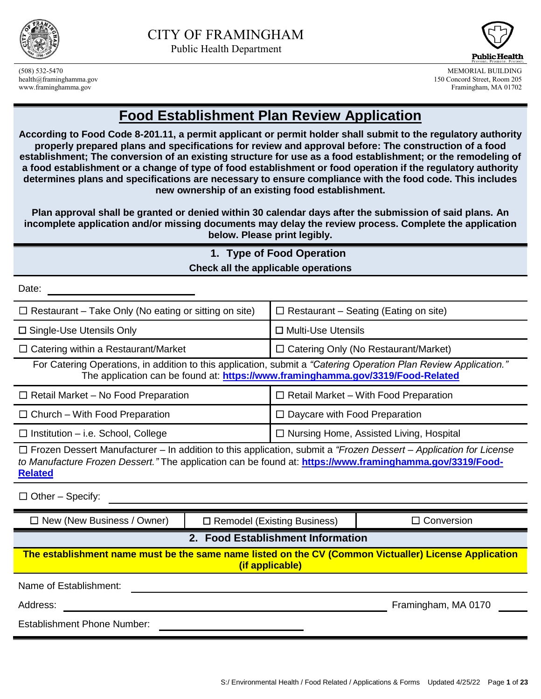



(508) 532-5470 MEMORIAL BUILDING health@framinghamma.gov 150 Concord Street, Room 205 www.framinghamma.gov Framingham, MA 01702

# **Food Establishment Plan Review Application**

**According to Food Code 8-201.11, a permit applicant or permit holder shall submit to the regulatory authority properly prepared plans and specifications for review and approval before: The construction of a food establishment; The conversion of an existing structure for use as a food establishment; or the remodeling of a food establishment or a change of type of food establishment or food operation if the regulatory authority determines plans and specifications are necessary to ensure compliance with the food code. This includes new ownership of an existing food establishment.**

**Plan approval shall be granted or denied within 30 calendar days after the submission of said plans. An incomplete application and/or missing documents may delay the review process. Complete the application below. Please print legibly.**

| 1. Type of Food Operation                                                                                                                                                                                                                              |  |                                                |                                             |  |
|--------------------------------------------------------------------------------------------------------------------------------------------------------------------------------------------------------------------------------------------------------|--|------------------------------------------------|---------------------------------------------|--|
|                                                                                                                                                                                                                                                        |  | Check all the applicable operations            |                                             |  |
| Date:                                                                                                                                                                                                                                                  |  |                                                |                                             |  |
| $\Box$ Restaurant - Take Only (No eating or sitting on site)<br>$\Box$ Restaurant – Seating (Eating on site)                                                                                                                                           |  |                                                |                                             |  |
| $\square$ Single-Use Utensils Only                                                                                                                                                                                                                     |  | □ Multi-Use Utensils                           |                                             |  |
| $\Box$ Catering within a Restaurant/Market                                                                                                                                                                                                             |  |                                                | $\Box$ Catering Only (No Restaurant/Market) |  |
| For Catering Operations, in addition to this application, submit a "Catering Operation Plan Review Application."<br>The application can be found at: https://www.framinghamma.gov/3319/Food-Related                                                    |  |                                                |                                             |  |
| $\Box$ Retail Market – No Food Preparation<br>$\Box$ Retail Market – With Food Preparation                                                                                                                                                             |  |                                                |                                             |  |
| $\Box$ Church – With Food Preparation                                                                                                                                                                                                                  |  | $\Box$ Daycare with Food Preparation           |                                             |  |
| $\Box$ Institution – i.e. School, College                                                                                                                                                                                                              |  | $\Box$ Nursing Home, Assisted Living, Hospital |                                             |  |
| $\Box$ Frozen Dessert Manufacturer – In addition to this application, submit a "Frozen Dessert – Application for License<br>to Manufacture Frozen Dessert." The application can be found at: https://www.framinghamma.gov/3319/Food-<br><b>Related</b> |  |                                                |                                             |  |
| $\Box$ Other - Specify:                                                                                                                                                                                                                                |  |                                                |                                             |  |
| $\Box$ New (New Business / Owner)                                                                                                                                                                                                                      |  | $\Box$ Remodel (Existing Business)             | $\Box$ Conversion                           |  |
|                                                                                                                                                                                                                                                        |  | 2. Food Establishment Information              |                                             |  |
| The establishment name must be the same name listed on the CV (Common Victualler) License Application<br>(if applicable)                                                                                                                               |  |                                                |                                             |  |
| Name of Establishment:                                                                                                                                                                                                                                 |  |                                                |                                             |  |
| Framingham, MA 0170<br>Address:                                                                                                                                                                                                                        |  |                                                |                                             |  |
| <b>Establishment Phone Number:</b>                                                                                                                                                                                                                     |  |                                                |                                             |  |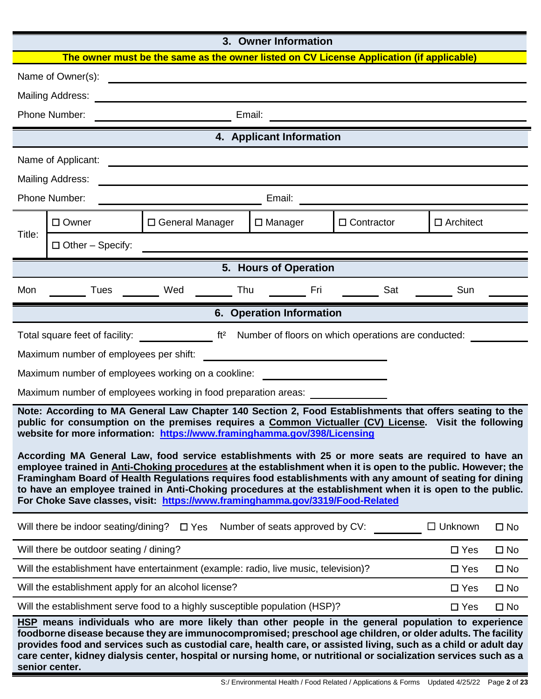#### **3. Owner Information**

|                                                                                                                                                                                                                                                                                                                                                                                                                                                                                                                                 | <b>UWIICI IIIIUIIIIAUUII</b>                                                                                      |                                                 |  |                                 |                                                                                                                                                                                                                                                                                                                                                                                                                                                             |                  |              |
|---------------------------------------------------------------------------------------------------------------------------------------------------------------------------------------------------------------------------------------------------------------------------------------------------------------------------------------------------------------------------------------------------------------------------------------------------------------------------------------------------------------------------------|-------------------------------------------------------------------------------------------------------------------|-------------------------------------------------|--|---------------------------------|-------------------------------------------------------------------------------------------------------------------------------------------------------------------------------------------------------------------------------------------------------------------------------------------------------------------------------------------------------------------------------------------------------------------------------------------------------------|------------------|--------------|
|                                                                                                                                                                                                                                                                                                                                                                                                                                                                                                                                 |                                                                                                                   |                                                 |  |                                 | The owner must be the same as the owner listed on CV License Application (if applicable)                                                                                                                                                                                                                                                                                                                                                                    |                  |              |
|                                                                                                                                                                                                                                                                                                                                                                                                                                                                                                                                 | Name of Owner(s):                                                                                                 |                                                 |  |                                 |                                                                                                                                                                                                                                                                                                                                                                                                                                                             |                  |              |
|                                                                                                                                                                                                                                                                                                                                                                                                                                                                                                                                 | <b>Mailing Address:</b>                                                                                           | <u> 1980 - Johann John Stone, mars et al. (</u> |  |                                 |                                                                                                                                                                                                                                                                                                                                                                                                                                                             |                  |              |
|                                                                                                                                                                                                                                                                                                                                                                                                                                                                                                                                 | Phone Number:                                                                                                     |                                                 |  | Email:                          | <u> 1989 - Johann John Stone, meil in der Stone und der Stone und der Stone und der Stone und der Stone und der </u>                                                                                                                                                                                                                                                                                                                                        |                  |              |
|                                                                                                                                                                                                                                                                                                                                                                                                                                                                                                                                 |                                                                                                                   |                                                 |  | 4. Applicant Information        |                                                                                                                                                                                                                                                                                                                                                                                                                                                             |                  |              |
|                                                                                                                                                                                                                                                                                                                                                                                                                                                                                                                                 | Name of Applicant:                                                                                                |                                                 |  |                                 |                                                                                                                                                                                                                                                                                                                                                                                                                                                             |                  |              |
|                                                                                                                                                                                                                                                                                                                                                                                                                                                                                                                                 | <b>Mailing Address:</b>                                                                                           |                                                 |  |                                 |                                                                                                                                                                                                                                                                                                                                                                                                                                                             |                  |              |
|                                                                                                                                                                                                                                                                                                                                                                                                                                                                                                                                 | Phone Number:                                                                                                     |                                                 |  | Email:                          | <u> 1980 - Johann Barbara, martxa alemaniar arg</u>                                                                                                                                                                                                                                                                                                                                                                                                         |                  |              |
|                                                                                                                                                                                                                                                                                                                                                                                                                                                                                                                                 | $\Box$ Owner                                                                                                      | □ General Manager                               |  | $\Box$ Manager                  | $\Box$ Contractor                                                                                                                                                                                                                                                                                                                                                                                                                                           | $\Box$ Architect |              |
| Title:                                                                                                                                                                                                                                                                                                                                                                                                                                                                                                                          | $\Box$ Other - Specify:                                                                                           |                                                 |  |                                 |                                                                                                                                                                                                                                                                                                                                                                                                                                                             |                  |              |
|                                                                                                                                                                                                                                                                                                                                                                                                                                                                                                                                 |                                                                                                                   |                                                 |  | 5. Hours of Operation           |                                                                                                                                                                                                                                                                                                                                                                                                                                                             |                  |              |
| Mon                                                                                                                                                                                                                                                                                                                                                                                                                                                                                                                             |                                                                                                                   | Tues Wed Thu Fri                                |  |                                 | Sat                                                                                                                                                                                                                                                                                                                                                                                                                                                         | Sun              |              |
|                                                                                                                                                                                                                                                                                                                                                                                                                                                                                                                                 |                                                                                                                   |                                                 |  | 6. Operation Information        |                                                                                                                                                                                                                                                                                                                                                                                                                                                             |                  |              |
|                                                                                                                                                                                                                                                                                                                                                                                                                                                                                                                                 |                                                                                                                   |                                                 |  |                                 | Total square feet of facility: ____________________ ft <sup>2</sup> Number of floors on which operations are conducted:                                                                                                                                                                                                                                                                                                                                     |                  |              |
|                                                                                                                                                                                                                                                                                                                                                                                                                                                                                                                                 | Maximum number of employees per shift:                                                                            |                                                 |  |                                 |                                                                                                                                                                                                                                                                                                                                                                                                                                                             |                  |              |
|                                                                                                                                                                                                                                                                                                                                                                                                                                                                                                                                 | Maximum number of employees working on a cookline:                                                                |                                                 |  |                                 |                                                                                                                                                                                                                                                                                                                                                                                                                                                             |                  |              |
|                                                                                                                                                                                                                                                                                                                                                                                                                                                                                                                                 |                                                                                                                   |                                                 |  |                                 |                                                                                                                                                                                                                                                                                                                                                                                                                                                             |                  |              |
| Maximum number of employees working in food preparation areas: _________________<br>Note: According to MA General Law Chapter 140 Section 2, Food Establishments that offers seating to the<br>public for consumption on the premises requires a Common Victualler (CV) License. Visit the following<br>website for more information: https://www.framinghamma.gov/398/Licensing                                                                                                                                                |                                                                                                                   |                                                 |  |                                 |                                                                                                                                                                                                                                                                                                                                                                                                                                                             |                  |              |
| According MA General Law, food service establishments with 25 or more seats are required to have an<br>employee trained in Anti-Choking procedures at the establishment when it is open to the public. However; the<br>Framingham Board of Health Regulations requires food establishments with any amount of seating for dining<br>to have an employee trained in Anti-Choking procedures at the establishment when it is open to the public.<br>For Choke Save classes, visit: https://www.framinghamma.gov/3319/Food-Related |                                                                                                                   |                                                 |  |                                 |                                                                                                                                                                                                                                                                                                                                                                                                                                                             |                  |              |
|                                                                                                                                                                                                                                                                                                                                                                                                                                                                                                                                 | Will there be indoor seating/dining?                                                                              | $\Box$ Yes                                      |  | Number of seats approved by CV: |                                                                                                                                                                                                                                                                                                                                                                                                                                                             | $\Box$ Unknown   | $\square$ No |
|                                                                                                                                                                                                                                                                                                                                                                                                                                                                                                                                 | Will there be outdoor seating / dining?<br>$\Box$ Yes<br>$\square$ No                                             |                                                 |  |                                 |                                                                                                                                                                                                                                                                                                                                                                                                                                                             |                  |              |
|                                                                                                                                                                                                                                                                                                                                                                                                                                                                                                                                 | Will the establishment have entertainment (example: radio, live music, television)?<br>$\Box$ Yes<br>$\square$ No |                                                 |  |                                 |                                                                                                                                                                                                                                                                                                                                                                                                                                                             |                  |              |
|                                                                                                                                                                                                                                                                                                                                                                                                                                                                                                                                 | Will the establishment apply for an alcohol license?                                                              |                                                 |  |                                 |                                                                                                                                                                                                                                                                                                                                                                                                                                                             | $\Box$ Yes       | $\square$ No |
|                                                                                                                                                                                                                                                                                                                                                                                                                                                                                                                                 | Will the establishment serve food to a highly susceptible population (HSP)?                                       |                                                 |  |                                 |                                                                                                                                                                                                                                                                                                                                                                                                                                                             | $\square$ Yes    | $\square$ No |
|                                                                                                                                                                                                                                                                                                                                                                                                                                                                                                                                 | senior center.                                                                                                    |                                                 |  |                                 | HSP means individuals who are more likely than other people in the general population to experience<br>foodborne disease because they are immunocompromised; preschool age children, or older adults. The facility<br>provides food and services such as custodial care, health care, or assisted living, such as a child or adult day<br>care center, kidney dialysis center, hospital or nursing home, or nutritional or socialization services such as a |                  |              |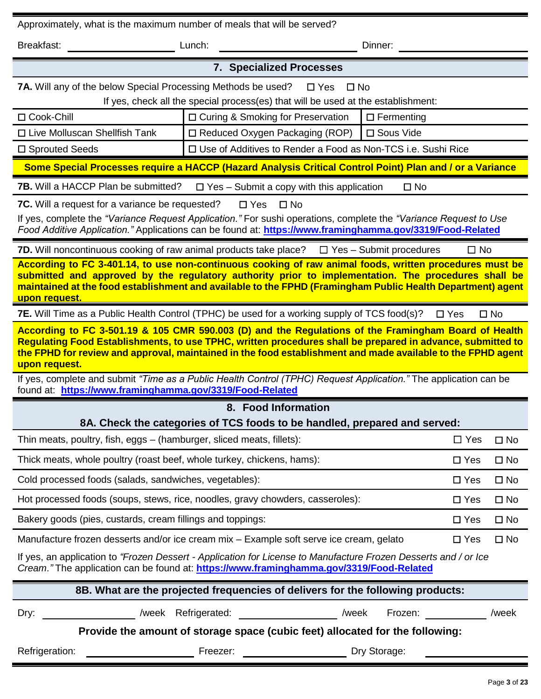| Approximately, what is the maximum number of meals that will be served?                                                                                                                                                                                                                                                                              |                                                                                   |                               |                   |               |              |
|------------------------------------------------------------------------------------------------------------------------------------------------------------------------------------------------------------------------------------------------------------------------------------------------------------------------------------------------------|-----------------------------------------------------------------------------------|-------------------------------|-------------------|---------------|--------------|
| Breakfast:                                                                                                                                                                                                                                                                                                                                           | Lunch:                                                                            |                               | Dinner:           |               |              |
|                                                                                                                                                                                                                                                                                                                                                      | <b>7. Specialized Processes</b>                                                   |                               |                   |               |              |
| <b>7A.</b> Will any of the below Special Processing Methods be used?                                                                                                                                                                                                                                                                                 | If yes, check all the special process(es) that will be used at the establishment: | $\square$ Yes<br>$\square$ No |                   |               |              |
| □ Cook-Chill                                                                                                                                                                                                                                                                                                                                         | □ Curing & Smoking for Preservation                                               |                               | $\Box$ Fermenting |               |              |
| $\Box$ Live Molluscan Shellfish Tank                                                                                                                                                                                                                                                                                                                 | $\Box$ Reduced Oxygen Packaging (ROP)                                             |                               | □ Sous Vide       |               |              |
| □ Sprouted Seeds                                                                                                                                                                                                                                                                                                                                     | □ Use of Additives to Render a Food as Non-TCS i.e. Sushi Rice                    |                               |                   |               |              |
| Some Special Processes require a HACCP (Hazard Analysis Critical Control Point) Plan and / or a Variance                                                                                                                                                                                                                                             |                                                                                   |                               |                   |               |              |
| <b>7B.</b> Will a HACCP Plan be submitted?                                                                                                                                                                                                                                                                                                           | $\Box$ Yes – Submit a copy with this application                                  |                               | $\square$ No      |               |              |
| <b>7C.</b> Will a request for a variance be requested?                                                                                                                                                                                                                                                                                               | $\Box$ Yes                                                                        | $\Box$ No                     |                   |               |              |
| If yes, complete the "Variance Request Application." For sushi operations, complete the "Variance Request to Use<br>Food Additive Application." Applications can be found at: https://www.framinghamma.gov/3319/Food-Related                                                                                                                         |                                                                                   |                               |                   |               |              |
| <b>7D.</b> Will noncontinuous cooking of raw animal products take place? $\Box$ Yes – Submit procedures                                                                                                                                                                                                                                              |                                                                                   |                               |                   | $\Box$ No     |              |
| According to FC 3-401.14, to use non-continuous cooking of raw animal foods, written procedures must be<br>submitted and approved by the regulatory authority prior to implementation. The procedures shall be<br>maintained at the food establishment and available to the FPHD (Framingham Public Health Department) agent<br><u>upon request.</u> |                                                                                   |                               |                   |               |              |
| 7E. Will Time as a Public Health Control (TPHC) be used for a working supply of TCS food(s)?                                                                                                                                                                                                                                                         |                                                                                   |                               |                   | $\square$ Yes | $\square$ No |
| According to FC 3-501.19 & 105 CMR 590.003 (D) and the Regulations of the Framingham Board of Health<br>Regulating Food Establishments, to use TPHC, written procedures shall be prepared in advance, submitted to<br>the FPHD for review and approval, maintained in the food establishment and made available to the FPHD agent<br>upon request.   |                                                                                   |                               |                   |               |              |
| If yes, complete and submit "Time as a Public Health Control (TPHC) Request Application." The application can be<br>found at: https://www.framinghamma.gov/3319/Food-Related                                                                                                                                                                         |                                                                                   |                               |                   |               |              |
|                                                                                                                                                                                                                                                                                                                                                      | 8. Food Information                                                               |                               |                   |               |              |
| 8A. Check the categories of TCS foods to be handled, prepared and served:                                                                                                                                                                                                                                                                            |                                                                                   |                               |                   |               |              |
| Thin meats, poultry, fish, eggs – (hamburger, sliced meats, fillets):                                                                                                                                                                                                                                                                                |                                                                                   |                               |                   | $\Box$ Yes    | $\square$ No |
| Thick meats, whole poultry (roast beef, whole turkey, chickens, hams):                                                                                                                                                                                                                                                                               |                                                                                   |                               |                   | $\square$ Yes | $\square$ No |
| Cold processed foods (salads, sandwiches, vegetables):                                                                                                                                                                                                                                                                                               |                                                                                   |                               |                   | $\square$ Yes | $\square$ No |
| Hot processed foods (soups, stews, rice, noodles, gravy chowders, casseroles):                                                                                                                                                                                                                                                                       |                                                                                   |                               |                   | $\Box$ Yes    | $\square$ No |
| Bakery goods (pies, custards, cream fillings and toppings:                                                                                                                                                                                                                                                                                           |                                                                                   |                               |                   | $\Box$ Yes    | $\square$ No |
| Manufacture frozen desserts and/or ice cream mix - Example soft serve ice cream, gelato                                                                                                                                                                                                                                                              |                                                                                   |                               |                   | $\square$ Yes | $\square$ No |
| If yes, an application to "Frozen Dessert - Application for License to Manufacture Frozen Desserts and / or Ice<br>Cream." The application can be found at: https://www.framinghamma.gov/3319/Food-Related                                                                                                                                           |                                                                                   |                               |                   |               |              |
| 8B. What are the projected frequencies of delivers for the following products:                                                                                                                                                                                                                                                                       |                                                                                   |                               |                   |               |              |
| Dry:                                                                                                                                                                                                                                                                                                                                                 | /week Refrigerated: /week                                                         |                               | Frozen:           |               | /week        |
| Provide the amount of storage space (cubic feet) allocated for the following:                                                                                                                                                                                                                                                                        |                                                                                   |                               |                   |               |              |
| Refrigeration:                                                                                                                                                                                                                                                                                                                                       | Freezer:                                                                          |                               | Dry Storage:      |               |              |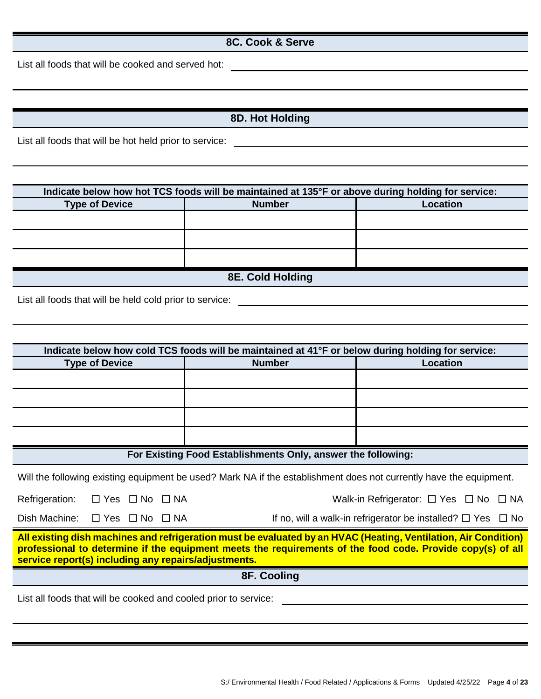#### **8C. Cook & Serve**

List all foods that will be cooked and served hot:

|  |  |  |  | 8D. Hot Holding |  |
|--|--|--|--|-----------------|--|
|--|--|--|--|-----------------|--|

List all foods that will be hot held prior to service:<br>
<u>List all foods that will be hot held prior to service:</u>

| Indicate below how hot TCS foods will be maintained at 135°F or above during holding for service: |               |                 |  |  |
|---------------------------------------------------------------------------------------------------|---------------|-----------------|--|--|
| <b>Type of Device</b>                                                                             | <b>Number</b> | <b>Location</b> |  |  |
|                                                                                                   |               |                 |  |  |
|                                                                                                   |               |                 |  |  |
|                                                                                                   |               |                 |  |  |
| 8E. Cold Holding                                                                                  |               |                 |  |  |

List all foods that will be held cold prior to service: \_\_\_\_\_\_\_\_\_\_\_\_\_\_\_\_\_\_\_\_\_\_\_\_\_

| Indicate below how cold TCS foods will be maintained at 41°F or below during holding for service:                                                                                                                                                                                     |                                                                       |                 |  |  |
|---------------------------------------------------------------------------------------------------------------------------------------------------------------------------------------------------------------------------------------------------------------------------------------|-----------------------------------------------------------------------|-----------------|--|--|
| <b>Type of Device</b>                                                                                                                                                                                                                                                                 | <b>Number</b>                                                         | <b>Location</b> |  |  |
|                                                                                                                                                                                                                                                                                       |                                                                       |                 |  |  |
|                                                                                                                                                                                                                                                                                       |                                                                       |                 |  |  |
|                                                                                                                                                                                                                                                                                       |                                                                       |                 |  |  |
|                                                                                                                                                                                                                                                                                       |                                                                       |                 |  |  |
| For Existing Food Establishments Only, answer the following:                                                                                                                                                                                                                          |                                                                       |                 |  |  |
| Will the following existing equipment be used? Mark NA if the establishment does not currently have the equipment.                                                                                                                                                                    |                                                                       |                 |  |  |
| Refrigeration: □ Yes □ No □ NA                                                                                                                                                                                                                                                        | Walk-in Refrigerator: $\Box$ Yes $\Box$ No $\Box$ NA                  |                 |  |  |
| Dish Machine: $\Box$ Yes $\Box$ No $\Box$ NA                                                                                                                                                                                                                                          | If no, will a walk-in refrigerator be installed? $\Box$ Yes $\Box$ No |                 |  |  |
| All existing dish machines and refrigeration must be evaluated by an HVAC (Heating, Ventilation, Air Condition)<br>professional to determine if the equipment meets the requirements of the food code. Provide copy(s) of all<br>service report(s) including any repairs/adjustments. |                                                                       |                 |  |  |
| 8F. Cooling                                                                                                                                                                                                                                                                           |                                                                       |                 |  |  |
| List all foods that will be cooked and cooled prior to service:                                                                                                                                                                                                                       |                                                                       |                 |  |  |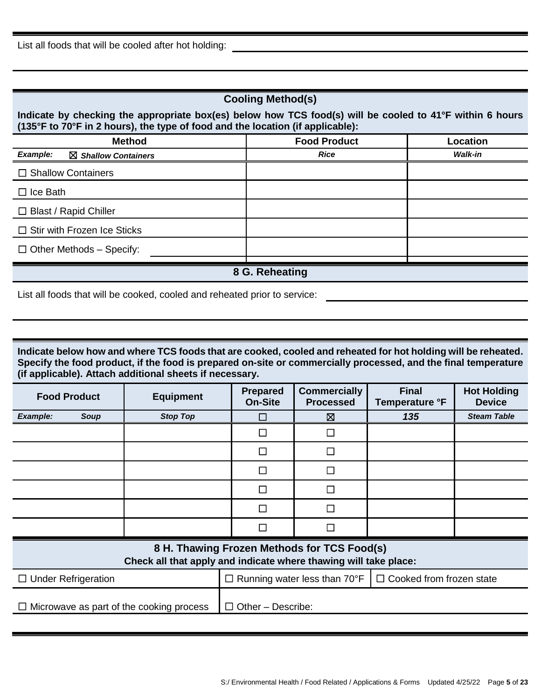| <b>Cooling Method(s)</b>                                                                                                                                                                                      |                     |          |  |  |  |
|---------------------------------------------------------------------------------------------------------------------------------------------------------------------------------------------------------------|---------------------|----------|--|--|--|
| Indicate by checking the appropriate box(es) below how TCS food(s) will be cooled to 41°F within 6 hours<br>$(135^{\circ}F$ to 70 $^{\circ}F$ in 2 hours), the type of food and the location (if applicable): |                     |          |  |  |  |
| <b>Method</b>                                                                                                                                                                                                 | <b>Food Product</b> | Location |  |  |  |
| <b>Example:</b><br>$\boxtimes$ Shallow Containers                                                                                                                                                             | <b>Rice</b>         | Walk-in  |  |  |  |
| $\Box$ Shallow Containers                                                                                                                                                                                     |                     |          |  |  |  |
| $\Box$ Ice Bath                                                                                                                                                                                               |                     |          |  |  |  |
| $\Box$ Blast / Rapid Chiller                                                                                                                                                                                  |                     |          |  |  |  |
| $\Box$ Stir with Frozen Ice Sticks                                                                                                                                                                            |                     |          |  |  |  |
| $\Box$ Other Methods – Specify:                                                                                                                                                                               |                     |          |  |  |  |
|                                                                                                                                                                                                               | 8 G. Reheating      |          |  |  |  |

List all foods that will be cooked, cooled and reheated prior to service:

**Indicate below how and where TCS foods that are cooked, cooled and reheated for hot holding will be reheated. Specify the food product, if the food is prepared on-site or commercially processed, and the final temperature (if applicable). Attach additional sheets if necessary.**

| <b>Food Product</b>                                                                                             |             | <b>Equipment</b>                         | <b>Prepared</b><br><b>On-Site</b>                                      | <b>Commercially</b><br><b>Processed</b> | <b>Final</b><br>Temperature °F | <b>Hot Holding</b><br><b>Device</b> |
|-----------------------------------------------------------------------------------------------------------------|-------------|------------------------------------------|------------------------------------------------------------------------|-----------------------------------------|--------------------------------|-------------------------------------|
| Example:                                                                                                        | <b>Soup</b> | <b>Stop Top</b>                          |                                                                        | ⊠                                       | 135                            | <b>Steam Table</b>                  |
|                                                                                                                 |             |                                          |                                                                        |                                         |                                |                                     |
|                                                                                                                 |             |                                          | $\overline{\phantom{0}}$                                               | $\overline{\phantom{a}}$                |                                |                                     |
|                                                                                                                 |             |                                          | $\Box$                                                                 | $\Box$                                  |                                |                                     |
|                                                                                                                 |             |                                          | $\mathcal{L}_{\mathcal{A}}$                                            | ┑                                       |                                |                                     |
|                                                                                                                 |             |                                          | П                                                                      | $\mathcal{L}_{\mathcal{A}}$             |                                |                                     |
|                                                                                                                 |             |                                          | $\mathbf{r}$                                                           | $\mathcal{L}_{\mathcal{A}}$             |                                |                                     |
| 8 H. Thawing Frozen Methods for TCS Food(s)<br>Check all that apply and indicate where thawing will take place: |             |                                          |                                                                        |                                         |                                |                                     |
| $\Box$ Under Refrigeration                                                                                      |             |                                          | $\Box$ Cooked from frozen state<br>$\Box$ Running water less than 70°F |                                         |                                |                                     |
|                                                                                                                 |             | Microwave as part of the cooking process | $\Box$ Other – Describe:                                               |                                         |                                |                                     |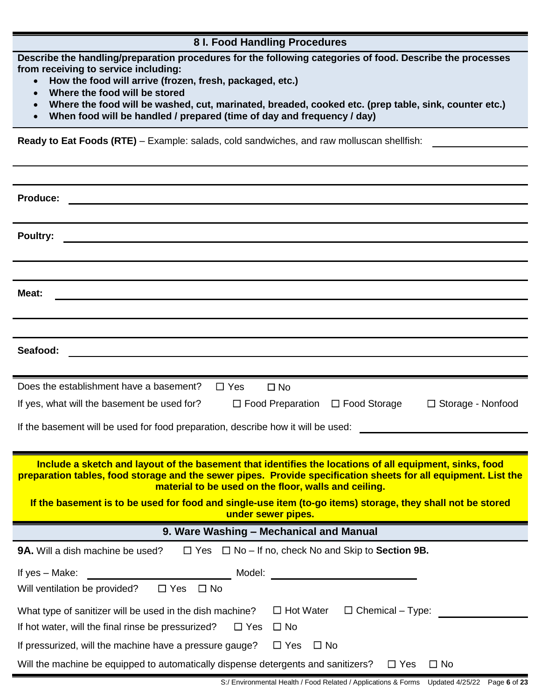## **8 I. Food Handling Procedures**

**Describe the handling/preparation procedures for the following categories of food. Describe the processes from receiving to service including:**

- **How the food will arrive (frozen, fresh, packaged, etc.)**
- **Where the food will be stored**
- **Where the food will be washed, cut, marinated, breaded, cooked etc. (prep table, sink, counter etc.)**
- **When food will be handled / prepared (time of day and frequency / day)**

**Ready to Eat Foods (RTE)** – Example: salads, cold sandwiches, and raw molluscan shellfish:

| <b>Produce:</b>                                                                                                                  |
|----------------------------------------------------------------------------------------------------------------------------------|
|                                                                                                                                  |
| Poultry:                                                                                                                         |
|                                                                                                                                  |
|                                                                                                                                  |
| Meat:                                                                                                                            |
|                                                                                                                                  |
|                                                                                                                                  |
| Seafood:                                                                                                                         |
|                                                                                                                                  |
| Does the establishment have a basement?<br>$\Box$ Yes<br>$\Box$ No                                                               |
| If yes, what will the basement be used for?<br>$\Box$ Food Preparation<br>$\Box$ Food Storage<br>□ Storage - Nonfood             |
| If the basement will be used for food preparation, describe how it will be used:                                                 |
|                                                                                                                                  |
| Include a sketch and layout of the basement that identifies the locations of all equipment, sinks, food                          |
| preparation tables, food storage and the sewer pipes. Provide specification sheets for all equipment. List the                   |
| material to be used on the floor, walls and ceiling.                                                                             |
| If the basement is to be used for food and single-use item (to-go items) storage, they shall not be stored<br>under sewer pipes. |
| 9. Ware Washing - Mechanical and Manual                                                                                          |
| <b>9A.</b> Will a dish machine be used?<br>$\Box$ Yes $\Box$ No – If no, check No and Skip to <b>Section 9B.</b>                 |
| If yes - Make:<br>Model:                                                                                                         |
| Will ventilation be provided?<br>$\Box$ Yes<br>$\Box$ No                                                                         |
| $\Box$ Hot Water<br>$\Box$ Chemical – Type:<br>What type of sanitizer will be used in the dish machine?                          |
| If hot water, will the final rinse be pressurized?<br>$\Box$ No<br>$\Box$ Yes                                                    |
| If pressurized, will the machine have a pressure gauge?<br>$\Box$ No<br>$\Box$ Yes                                               |
| Will the machine be equipped to automatically dispense detergents and sanitizers?<br>$\Box$ No<br>$\Box$ Yes                     |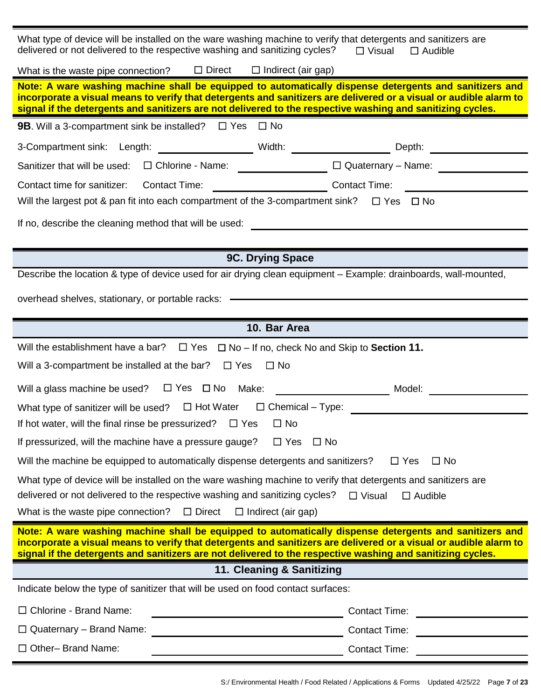| What type of device will be installed on the ware washing machine to verify that detergents and sanitizers are<br>delivered or not delivered to the respective washing and sanitizing cycles?<br>$\square$ Visual<br>$\Box$ Audible                                                                                                       |                                                                                                                      |  |  |  |
|-------------------------------------------------------------------------------------------------------------------------------------------------------------------------------------------------------------------------------------------------------------------------------------------------------------------------------------------|----------------------------------------------------------------------------------------------------------------------|--|--|--|
| What is the waste pipe connection? $\square$ Direct $\square$ Indirect (air gap)                                                                                                                                                                                                                                                          |                                                                                                                      |  |  |  |
| Note: A ware washing machine shall be equipped to automatically dispense detergents and sanitizers and<br>incorporate a visual means to verify that detergents and sanitizers are delivered or a visual or audible alarm to<br>signal if the detergents and sanitizers are not delivered to the respective washing and sanitizing cycles. |                                                                                                                      |  |  |  |
| <b>9B.</b> Will a 3-compartment sink be installed? $\Box$ Yes $\Box$ No                                                                                                                                                                                                                                                                   |                                                                                                                      |  |  |  |
| 3-Compartment sink: Length: _________________________Width: _______________________Depth: ____________________                                                                                                                                                                                                                            |                                                                                                                      |  |  |  |
| Sanitizer that will be used: $\square$ Chlorine - Name: $\qquad \qquad \qquad \qquad$                                                                                                                                                                                                                                                     | $\Box$ Quaternary - Name:                                                                                            |  |  |  |
| Contact time for sanitizer: Contact Time:                                                                                                                                                                                                                                                                                                 |                                                                                                                      |  |  |  |
| Will the largest pot & pan fit into each compartment of the 3-compartment sink? $\square$ Yes $\square$ No                                                                                                                                                                                                                                |                                                                                                                      |  |  |  |
| If no, describe the cleaning method that will be used:                                                                                                                                                                                                                                                                                    | <u> 1989 - Johann John Stein, mars ar yw y cyfan y cynnwys y cynnwys y cynnwys y cynnwys y cynnwys y cynnwys y c</u> |  |  |  |
|                                                                                                                                                                                                                                                                                                                                           |                                                                                                                      |  |  |  |
| 9C. Drying Space                                                                                                                                                                                                                                                                                                                          |                                                                                                                      |  |  |  |
| Describe the location & type of device used for air drying clean equipment – Example: drainboards, wall-mounted,                                                                                                                                                                                                                          |                                                                                                                      |  |  |  |
|                                                                                                                                                                                                                                                                                                                                           |                                                                                                                      |  |  |  |
|                                                                                                                                                                                                                                                                                                                                           |                                                                                                                      |  |  |  |
| 10. Bar Area                                                                                                                                                                                                                                                                                                                              |                                                                                                                      |  |  |  |
| Will the establishment have a bar?<br>$\Box$ Yes $\Box$ No – If no, check No and Skip to <b>Section 11.</b>                                                                                                                                                                                                                               |                                                                                                                      |  |  |  |
|                                                                                                                                                                                                                                                                                                                                           |                                                                                                                      |  |  |  |
| Will a 3-compartment be installed at the bar? $\Box$ Yes $\Box$ No                                                                                                                                                                                                                                                                        |                                                                                                                      |  |  |  |
| Will a glass machine be used? $\square$ Yes $\square$ No Make:<br><u> 1990 - Johann Barbara, martx</u>                                                                                                                                                                                                                                    | Model:                                                                                                               |  |  |  |
| What type of sanitizer will be used? $\Box$ Hot Water $\Box$ Chemical – Type:                                                                                                                                                                                                                                                             |                                                                                                                      |  |  |  |
| If hot water, will the final rinse be pressurized? $\Box$ Yes<br>$\Box$ No                                                                                                                                                                                                                                                                |                                                                                                                      |  |  |  |
| If pressurized, will the machine have a pressure gauge?<br>$\Box$ Yes<br>$\square$ No                                                                                                                                                                                                                                                     |                                                                                                                      |  |  |  |
| Will the machine be equipped to automatically dispense detergents and sanitizers?                                                                                                                                                                                                                                                         | $\Box$ Yes<br>$\Box$ No                                                                                              |  |  |  |
| What type of device will be installed on the ware washing machine to verify that detergents and sanitizers are                                                                                                                                                                                                                            |                                                                                                                      |  |  |  |
| delivered or not delivered to the respective washing and sanitizing cycles?                                                                                                                                                                                                                                                               | $\Box$ Visual<br>$\Box$ Audible                                                                                      |  |  |  |
| What is the waste pipe connection?<br>$\Box$ Direct<br>$\Box$ Indirect (air gap)                                                                                                                                                                                                                                                          |                                                                                                                      |  |  |  |
| Note: A ware washing machine shall be equipped to automatically dispense detergents and sanitizers and<br>incorporate a visual means to verify that detergents and sanitizers are delivered or a visual or audible alarm to<br>signal if the detergents and sanitizers are not delivered to the respective washing and sanitizing cycles. |                                                                                                                      |  |  |  |
| 11. Cleaning & Sanitizing                                                                                                                                                                                                                                                                                                                 |                                                                                                                      |  |  |  |
| Indicate below the type of sanitizer that will be used on food contact surfaces:                                                                                                                                                                                                                                                          |                                                                                                                      |  |  |  |
| □ Chlorine - Brand Name:                                                                                                                                                                                                                                                                                                                  | Contact Time:                                                                                                        |  |  |  |
| $\Box$ Quaternary – Brand Name:                                                                                                                                                                                                                                                                                                           | <b>Contact Time:</b>                                                                                                 |  |  |  |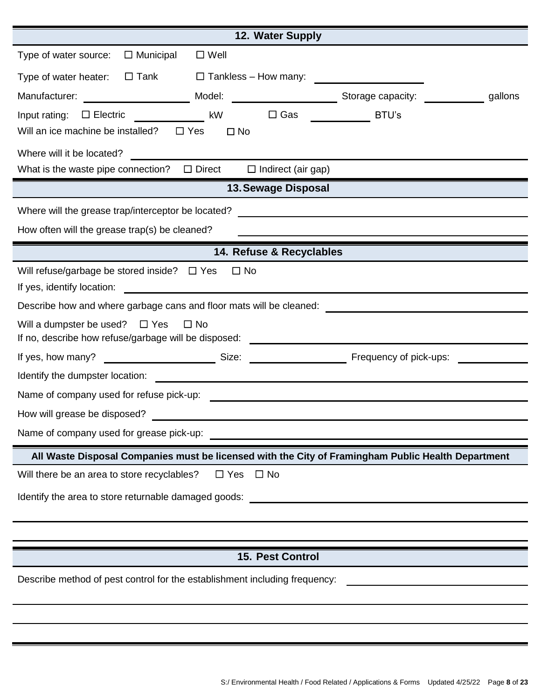| 12. Water Supply                                                                                                                                                           |  |  |  |  |  |
|----------------------------------------------------------------------------------------------------------------------------------------------------------------------------|--|--|--|--|--|
| $\Box$ Municipal<br>$\square$ Well<br>Type of water source:                                                                                                                |  |  |  |  |  |
| $\Box$ Tank<br>$\Box$ Tankless – How many:<br>Type of water heater:                                                                                                        |  |  |  |  |  |
| Manufacturer: _____________________________Model: ___________________________Storage capacity: ___________________gallons                                                  |  |  |  |  |  |
| $\square$ Gas<br>Input rating: $\square$ Electric<br>kW<br>BTU's                                                                                                           |  |  |  |  |  |
| Will an ice machine be installed?<br>$\Box$ Yes<br>$\square$ No                                                                                                            |  |  |  |  |  |
| Where will it be located?                                                                                                                                                  |  |  |  |  |  |
| What is the waste pipe connection? $\Box$ Direct<br>$\Box$ Indirect (air gap)                                                                                              |  |  |  |  |  |
| 13. Sewage Disposal                                                                                                                                                        |  |  |  |  |  |
| Where will the grease trap/interceptor be located?<br><u> 1989 - Johann John Stein, mars and de British and de British and de British and de British and de British an</u> |  |  |  |  |  |
| How often will the grease trap(s) be cleaned?                                                                                                                              |  |  |  |  |  |
| 14. Refuse & Recyclables                                                                                                                                                   |  |  |  |  |  |
| Will refuse/garbage be stored inside? $\Box$ Yes<br>$\Box$ No                                                                                                              |  |  |  |  |  |
| <u> 1989 - Johann Barbara, martin da basar a shekara tsa 1989 - An tsa 1989 - An tsa 1989 - An tsa 1989 - An tsa</u><br>If yes, identify location:                         |  |  |  |  |  |
| Describe how and where garbage cans and floor mats will be cleaned:                                                                                                        |  |  |  |  |  |
| Will a dumpster be used? $\Box$ Yes<br>$\Box$ No<br>If no, describe how refuse/garbage will be disposed:                                                                   |  |  |  |  |  |
| Frequency of pick-ups:                                                                                                                                                     |  |  |  |  |  |
| Identify the dumpster location:<br><u> 1989 - Johann Harry Harry Harry Harry Harry Harry Harry Harry Harry Harry Harry Harry Harry Harry Harry Harry</u>                   |  |  |  |  |  |
|                                                                                                                                                                            |  |  |  |  |  |
| How will grease be disposed?                                                                                                                                               |  |  |  |  |  |
| Name of company used for grease pick-up: Name of company used for grease pick-up:                                                                                          |  |  |  |  |  |
| All Waste Disposal Companies must be licensed with the City of Framingham Public Health Department                                                                         |  |  |  |  |  |
| Will there be an area to store recyclables?<br>$\Box$ Yes $\Box$ No                                                                                                        |  |  |  |  |  |
|                                                                                                                                                                            |  |  |  |  |  |
|                                                                                                                                                                            |  |  |  |  |  |
|                                                                                                                                                                            |  |  |  |  |  |
| 15. Pest Control                                                                                                                                                           |  |  |  |  |  |
| Describe method of pest control for the establishment including frequency:                                                                                                 |  |  |  |  |  |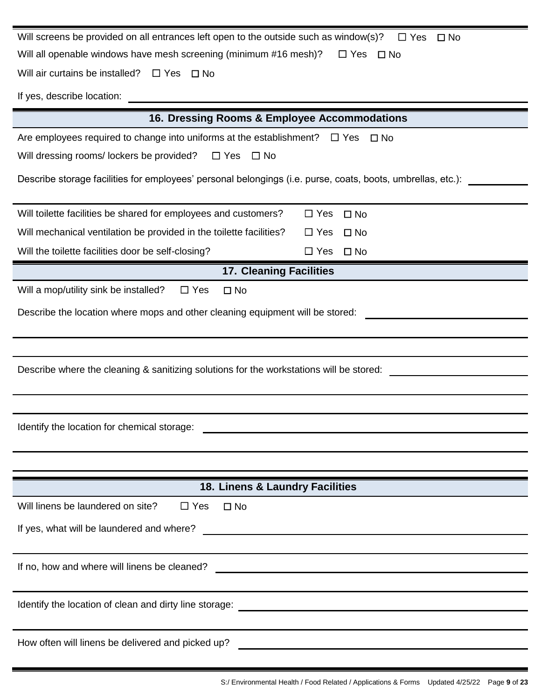| Will screens be provided on all entrances left open to the outside such as window(s)?<br>$\Box$ Yes<br>$\Box$ No                                                    |            |              |  |  |
|---------------------------------------------------------------------------------------------------------------------------------------------------------------------|------------|--------------|--|--|
| Will all openable windows have mesh screening (minimum #16 mesh)?<br>$\Box$ Yes<br>– ⊟ No                                                                           |            |              |  |  |
| Will air curtains be installed?<br>$\Box$ Yes $\Box$ No                                                                                                             |            |              |  |  |
| If yes, describe location:                                                                                                                                          |            |              |  |  |
| 16. Dressing Rooms & Employee Accommodations                                                                                                                        |            |              |  |  |
| Are employees required to change into uniforms at the establishment? $\Box$ Yes                                                                                     |            | $\square$ No |  |  |
| Will dressing rooms/lockers be provided?<br>$\Box$ Yes $\Box$ No                                                                                                    |            |              |  |  |
| Describe storage facilities for employees' personal belongings (i.e. purse, coats, boots, umbrellas, etc.):                                                         |            |              |  |  |
| Will toilette facilities be shared for employees and customers?                                                                                                     | $\Box$ Yes | $\square$ No |  |  |
| Will mechanical ventilation be provided in the toilette facilities?                                                                                                 | $\Box$ Yes | $\square$ No |  |  |
| Will the toilette facilities door be self-closing?                                                                                                                  | $\Box$ Yes | $\square$ No |  |  |
| <b>17. Cleaning Facilities</b>                                                                                                                                      |            |              |  |  |
| Will a mop/utility sink be installed?<br>$\Box$ Yes<br>$\square$ No                                                                                                 |            |              |  |  |
| Describe the location where mops and other cleaning equipment will be stored:                                                                                       |            |              |  |  |
|                                                                                                                                                                     |            |              |  |  |
| Describe where the cleaning & sanitizing solutions for the workstations will be stored:                                                                             |            |              |  |  |
|                                                                                                                                                                     |            |              |  |  |
| Identify the location for chemical storage:<br><u> 1989 - John Amerikaans van die Stadt van die Stadt van die Stadt van die Stadt van die Stadt van die Stadt v</u> |            |              |  |  |
|                                                                                                                                                                     |            |              |  |  |
| 18. Linens & Laundry Facilities                                                                                                                                     |            |              |  |  |
| Will linens be laundered on site?<br>$\Box$ Yes<br>$\square$ No                                                                                                     |            |              |  |  |
| If yes, what will be laundered and where?<br><u> 1989 - Johann Barn, amerikansk politiker (d. 1989)</u>                                                             |            |              |  |  |
| If no, how and where will linens be cleaned?<br><u> 1989 - Johann Barn, mars ann an t-Amhain an t-Amhain an t-Amhain an t-Amhain an t-Amhain an t-Amhain an t-A</u> |            |              |  |  |
|                                                                                                                                                                     |            |              |  |  |
|                                                                                                                                                                     |            |              |  |  |
| How often will linens be delivered and picked up?                                                                                                                   |            |              |  |  |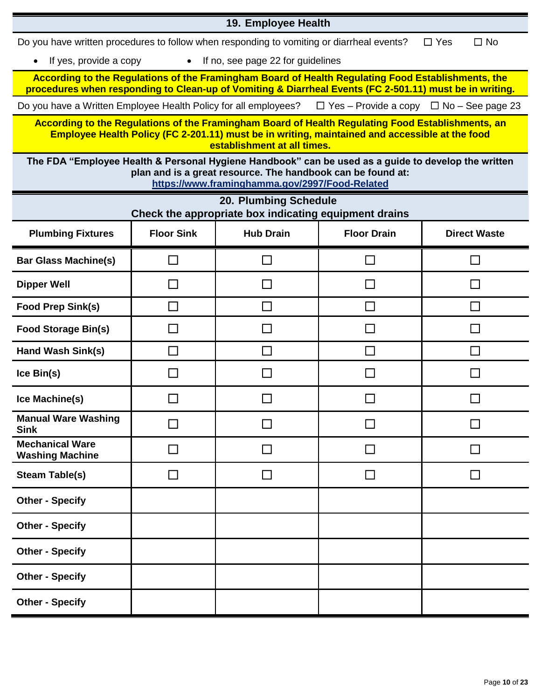|                                                                                                                     |                   | 19. Employee Health                                                                                           |                                                                                                                                                                                                            |                         |
|---------------------------------------------------------------------------------------------------------------------|-------------------|---------------------------------------------------------------------------------------------------------------|------------------------------------------------------------------------------------------------------------------------------------------------------------------------------------------------------------|-------------------------|
| Do you have written procedures to follow when responding to vomiting or diarrheal events?                           |                   |                                                                                                               |                                                                                                                                                                                                            | $\Box$ No<br>$\Box$ Yes |
| If yes, provide a copy                                                                                              | $\bullet$         | If no, see page 22 for guidelines                                                                             |                                                                                                                                                                                                            |                         |
| procedures when responding to Clean-up of Vomiting & Diarrheal Events (FC 2-501.11) must be in writing.             |                   |                                                                                                               | According to the Regulations of the Framingham Board of Health Regulating Food Establishments, the                                                                                                         |                         |
| Do you have a Written Employee Health Policy for all employees? $\Box$ Yes – Provide a copy $\Box$ No – See page 23 |                   |                                                                                                               |                                                                                                                                                                                                            |                         |
|                                                                                                                     |                   | establishment at all times.                                                                                   | According to the Regulations of the Framingham Board of Health Regulating Food Establishments, an<br><b>Employee Health Policy (FC 2-201.11) must be in writing, maintained and accessible at the food</b> |                         |
| The FDA "Employee Health & Personal Hygiene Handbook" can be used as a guide to develop the written                 |                   | plan and is a great resource. The handbook can be found at:<br>https://www.framinghamma.gov/2997/Food-Related |                                                                                                                                                                                                            |                         |
|                                                                                                                     |                   | 20. Plumbing Schedule<br>Check the appropriate box indicating equipment drains                                |                                                                                                                                                                                                            |                         |
| <b>Plumbing Fixtures</b>                                                                                            | <b>Floor Sink</b> | <b>Hub Drain</b>                                                                                              | <b>Floor Drain</b>                                                                                                                                                                                         | <b>Direct Waste</b>     |
| <b>Bar Glass Machine(s)</b>                                                                                         |                   |                                                                                                               |                                                                                                                                                                                                            |                         |
| <b>Dipper Well</b>                                                                                                  |                   |                                                                                                               |                                                                                                                                                                                                            |                         |
| <b>Food Prep Sink(s)</b>                                                                                            | П                 | $\mathbb{R}^n$                                                                                                | $\Box$                                                                                                                                                                                                     | $\mathsf{L}$            |
| <b>Food Storage Bin(s)</b>                                                                                          | $\blacksquare$    | $\sim$                                                                                                        | <b>College</b>                                                                                                                                                                                             |                         |
| Hand Wash Sink(s)                                                                                                   | $\Box$            | $\mathbf{I}$                                                                                                  | <b>College</b>                                                                                                                                                                                             | $\mathsf{I}$            |
| Ice Bin(s)                                                                                                          | $\sim$            |                                                                                                               |                                                                                                                                                                                                            |                         |
| Ice Machine(s)                                                                                                      |                   |                                                                                                               |                                                                                                                                                                                                            |                         |
| <b>Manual Ware Washing</b><br><b>Sink</b>                                                                           | ┓                 | $\Box$                                                                                                        | П                                                                                                                                                                                                          |                         |
| <b>Mechanical Ware</b><br><b>Washing Machine</b>                                                                    |                   |                                                                                                               |                                                                                                                                                                                                            |                         |
| <b>Steam Table(s)</b>                                                                                               |                   |                                                                                                               |                                                                                                                                                                                                            |                         |
| <b>Other - Specify</b>                                                                                              |                   |                                                                                                               |                                                                                                                                                                                                            |                         |
| <b>Other - Specify</b>                                                                                              |                   |                                                                                                               |                                                                                                                                                                                                            |                         |
| <b>Other - Specify</b>                                                                                              |                   |                                                                                                               |                                                                                                                                                                                                            |                         |
| <b>Other - Specify</b>                                                                                              |                   |                                                                                                               |                                                                                                                                                                                                            |                         |
| <b>Other - Specify</b>                                                                                              |                   |                                                                                                               |                                                                                                                                                                                                            |                         |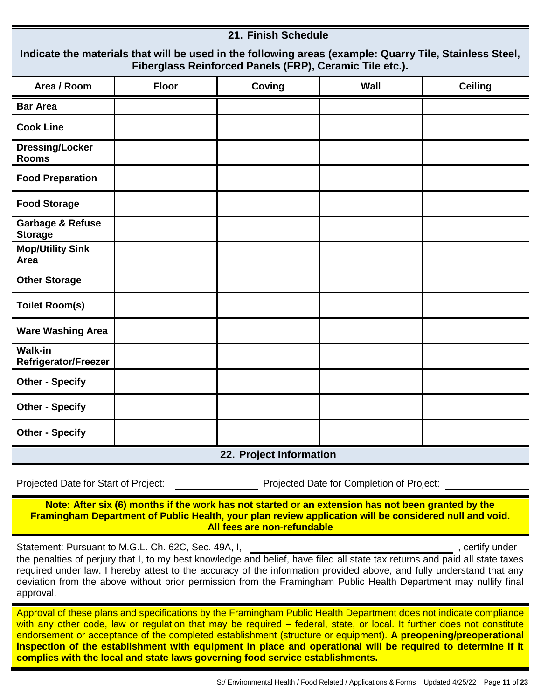#### **21. Finish Schedule**

| Indicate the materials that will be used in the following areas (example: Quarry Tile, Stainless Steel, |
|---------------------------------------------------------------------------------------------------------|
| Fiberglass Reinforced Panels (FRP), Ceramic Tile etc.).                                                 |

| Area / Room                                   | <b>Floor</b> | Coving                  | Wall | <b>Ceiling</b> |
|-----------------------------------------------|--------------|-------------------------|------|----------------|
| <b>Bar Area</b>                               |              |                         |      |                |
| <b>Cook Line</b>                              |              |                         |      |                |
| <b>Dressing/Locker</b><br><b>Rooms</b>        |              |                         |      |                |
| <b>Food Preparation</b>                       |              |                         |      |                |
| <b>Food Storage</b>                           |              |                         |      |                |
| <b>Garbage &amp; Refuse</b><br><b>Storage</b> |              |                         |      |                |
| <b>Mop/Utility Sink</b><br>Area               |              |                         |      |                |
| <b>Other Storage</b>                          |              |                         |      |                |
| <b>Toilet Room(s)</b>                         |              |                         |      |                |
| <b>Ware Washing Area</b>                      |              |                         |      |                |
| <b>Walk-in</b><br>Refrigerator/Freezer        |              |                         |      |                |
| <b>Other - Specify</b>                        |              |                         |      |                |
| <b>Other - Specify</b>                        |              |                         |      |                |
| <b>Other - Specify</b>                        |              |                         |      |                |
|                                               |              | 22. Project Information |      |                |

Projected Date for Start of Project: Projected Date for Completion of Project:

**Note: After six (6) months if the work has not started or an extension has not been granted by the Framingham Department of Public Health, your plan review application will be considered null and void. All fees are non-refundable**

Statement: Pursuant to M.G.L. Ch. 62C, Sec. 49A, I,  $\blacksquare$  , example to the statement: Pursuant to M.G.L. Ch. 62C, Sec. 49A, I,

the penalties of perjury that I, to my best knowledge and belief, have filed all state tax returns and paid all state taxes required under law. I hereby attest to the accuracy of the information provided above, and fully understand that any deviation from the above without prior permission from the Framingham Public Health Department may nullify final approval.

Approval of these plans and specifications by the Framingham Public Health Department does not indicate compliance with any other code, law or regulation that may be required – federal, state, or local. It further does not constitute endorsement or acceptance of the completed establishment (structure or equipment). **A preopening/preoperational inspection of the establishment with equipment in place and operational will be required to determine if it complies with the local and state laws governing food service establishments.**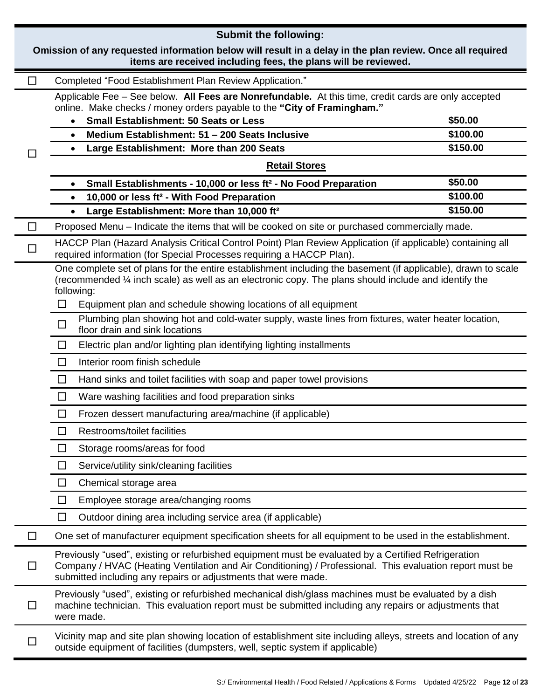|                | <b>Submit the following:</b>                                                                                                                                                                                                                                                      |          |
|----------------|-----------------------------------------------------------------------------------------------------------------------------------------------------------------------------------------------------------------------------------------------------------------------------------|----------|
|                | Omission of any requested information below will result in a delay in the plan review. Once all required<br>items are received including fees, the plans will be reviewed.                                                                                                        |          |
| ப              | Completed "Food Establishment Plan Review Application."                                                                                                                                                                                                                           |          |
|                | Applicable Fee - See below. All Fees are Nonrefundable. At this time, credit cards are only accepted<br>online. Make checks / money orders payable to the "City of Framingham."<br><b>Small Establishment: 50 Seats or Less</b><br>$\bullet$                                      | \$50.00  |
|                | Medium Establishment: 51 - 200 Seats Inclusive<br>$\bullet$                                                                                                                                                                                                                       | \$100.00 |
|                | Large Establishment: More than 200 Seats<br>$\bullet$                                                                                                                                                                                                                             | \$150.00 |
|                | <b>Retail Stores</b>                                                                                                                                                                                                                                                              |          |
|                | Small Establishments - 10,000 or less ft <sup>2</sup> - No Food Preparation<br>$\bullet$                                                                                                                                                                                          | \$50.00  |
|                | 10,000 or less ft <sup>2</sup> - With Food Preparation<br>$\bullet$                                                                                                                                                                                                               | \$100.00 |
|                | Large Establishment: More than 10,000 ft <sup>2</sup><br>$\bullet$                                                                                                                                                                                                                | \$150.00 |
| $\mathsf{L}$   | Proposed Menu – Indicate the items that will be cooked on site or purchased commercially made.                                                                                                                                                                                    |          |
|                | HACCP Plan (Hazard Analysis Critical Control Point) Plan Review Application (if applicable) containing all<br>required information (for Special Processes requiring a HACCP Plan).                                                                                                |          |
|                | One complete set of plans for the entire establishment including the basement (if applicable), drawn to scale<br>(recommended $\%$ inch scale) as well as an electronic copy. The plans should include and identify the<br>following:                                             |          |
|                | Equipment plan and schedule showing locations of all equipment<br>$\Box$                                                                                                                                                                                                          |          |
|                | Plumbing plan showing hot and cold-water supply, waste lines from fixtures, water heater location,<br>$\Box$<br>floor drain and sink locations                                                                                                                                    |          |
|                | Electric plan and/or lighting plan identifying lighting installments<br>ப                                                                                                                                                                                                         |          |
|                | $\Box$<br>Interior room finish schedule                                                                                                                                                                                                                                           |          |
|                | $\Box$<br>Hand sinks and toilet facilities with soap and paper towel provisions                                                                                                                                                                                                   |          |
|                | Ware washing facilities and food preparation sinks<br>$\Box$                                                                                                                                                                                                                      |          |
|                | Frozen dessert manufacturing area/machine (if applicable)<br>$\Box$                                                                                                                                                                                                               |          |
|                | Restrooms/toilet facilities<br>$\Box$                                                                                                                                                                                                                                             |          |
|                | $\Box$<br>Storage rooms/areas for food                                                                                                                                                                                                                                            |          |
|                | Service/utility sink/cleaning facilities<br>$\Box$                                                                                                                                                                                                                                |          |
|                | Chemical storage area<br>$\Box$                                                                                                                                                                                                                                                   |          |
|                | $\Box$<br>Employee storage area/changing rooms                                                                                                                                                                                                                                    |          |
|                | $\Box$<br>Outdoor dining area including service area (if applicable)                                                                                                                                                                                                              |          |
| $\Box$         | One set of manufacturer equipment specification sheets for all equipment to be used in the establishment.                                                                                                                                                                         |          |
| $\blacksquare$ | Previously "used", existing or refurbished equipment must be evaluated by a Certified Refrigeration<br>Company / HVAC (Heating Ventilation and Air Conditioning) / Professional. This evaluation report must be<br>submitted including any repairs or adjustments that were made. |          |
| $\blacksquare$ | Previously "used", existing or refurbished mechanical dish/glass machines must be evaluated by a dish<br>machine technician. This evaluation report must be submitted including any repairs or adjustments that<br>were made.                                                     |          |
| $\Box$         | Vicinity map and site plan showing location of establishment site including alleys, streets and location of any<br>outside equipment of facilities (dumpsters, well, septic system if applicable)                                                                                 |          |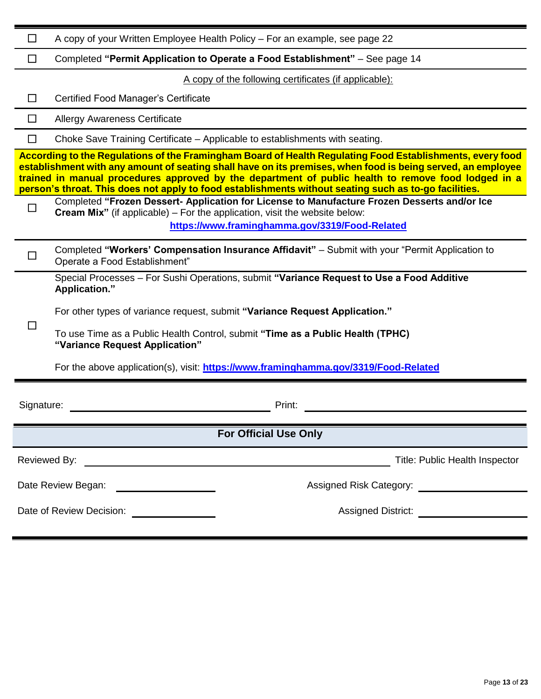| $\mathsf{L}$   | A copy of your Written Employee Health Policy – For an example, see page 22                                                                                                                                                                                                                                                                                                                                                              |
|----------------|------------------------------------------------------------------------------------------------------------------------------------------------------------------------------------------------------------------------------------------------------------------------------------------------------------------------------------------------------------------------------------------------------------------------------------------|
| $\blacksquare$ | Completed "Permit Application to Operate a Food Establishment" - See page 14                                                                                                                                                                                                                                                                                                                                                             |
|                | A copy of the following certificates (if applicable):                                                                                                                                                                                                                                                                                                                                                                                    |
|                | <b>Certified Food Manager's Certificate</b>                                                                                                                                                                                                                                                                                                                                                                                              |
|                | <b>Allergy Awareness Certificate</b>                                                                                                                                                                                                                                                                                                                                                                                                     |
| $\Box$         | Choke Save Training Certificate - Applicable to establishments with seating.                                                                                                                                                                                                                                                                                                                                                             |
|                | According to the Regulations of the Framingham Board of Health Regulating Food Establishments, every food<br>establishment with any amount of seating shall have on its premises, when food is being served, an employee<br>trained in manual procedures approved by the department of public health to remove food lodged in a<br>person's throat. This does not apply to food establishments without seating such as to-go facilities. |
| $\Box$         | Completed "Frozen Dessert- Application for License to Manufacture Frozen Desserts and/or Ice<br><b>Cream Mix</b> " (if applicable) – For the application, visit the website below:<br>https://www.framinghamma.gov/3319/Food-Related                                                                                                                                                                                                     |
|                | Completed "Workers' Compensation Insurance Affidavit" - Submit with your "Permit Application to<br>Operate a Food Establishment"                                                                                                                                                                                                                                                                                                         |
|                | Special Processes - For Sushi Operations, submit "Variance Request to Use a Food Additive<br>Application."<br>For other types of variance request, submit "Variance Request Application."                                                                                                                                                                                                                                                |
|                | To use Time as a Public Health Control, submit "Time as a Public Health (TPHC)<br>"Variance Request Application"                                                                                                                                                                                                                                                                                                                         |
|                | For the above application(s), visit: https://www.framinghamma.gov/3319/Food-Related                                                                                                                                                                                                                                                                                                                                                      |
| Signature:     | Print:                                                                                                                                                                                                                                                                                                                                                                                                                                   |
|                | <b>For Official Use Only</b>                                                                                                                                                                                                                                                                                                                                                                                                             |
|                | Title: Public Health Inspector<br>Reviewed By:<br><u> 1989 - Johann John Stein, mars an deus Amerikaansk kommunister (</u>                                                                                                                                                                                                                                                                                                               |
|                | Date Review Began: ____________________<br>Assigned Risk Category: Assigned Risk Category:                                                                                                                                                                                                                                                                                                                                               |
|                | Date of Review Decision:<br>Assigned District: ________________________<br><u> 1989 - Johann Barbara, martxa a</u>                                                                                                                                                                                                                                                                                                                       |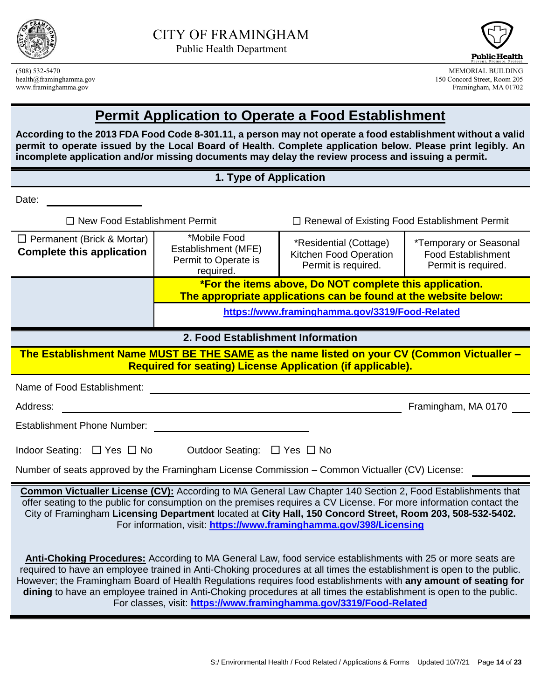



(508) 532-5470 MEMORIAL BUILDING 150 Concord Street, Room 205 www.framinghamma.gov Framingham, MA 01702

## **Permit Application to Operate a Food Establishment**

**According to the 2013 FDA Food Code 8-301.11, a person may not operate a food establishment without a valid permit to operate issued by the Local Board of Health. Complete application below. Please print legibly. An incomplete application and/or missing documents may delay the review process and issuing a permit.**

#### **1. Type of Application**

Date:

☐ New Food Establishment Permit ☐ Renewal of Existing Food Establishment Permit ☐ Permanent (Brick & Mortar) **Complete this application** \*Mobile Food Establishment (MFE) Permit to Operate is required. \*Residential (Cottage) Kitchen Food Operation Permit is required. \*Temporary or Seasonal Food Establishment Permit is required. **\*For the items above, Do NOT complete this application. The appropriate applications can be found at the website below: <https://www.framinghamma.gov/3319/Food-Related>**

#### **2. Food Establishment Information**

**The Establishment Name MUST BE THE SAME as the name listed on your CV (Common Victualler – Required for seating) License Application (if applicable).**

Name of Food Establishment: **Name of Food Establishment:** 

Address: Framingham, MA 0170

Establishment Phone Number:

Number of seats approved by the Framingham License Commission – Common Victualler (CV) License:

**Common Victualler License (CV):** According to MA General Law Chapter 140 Section 2, Food Establishments that offer seating to the public for consumption on the premises requires a CV License. For more information contact the City of Framingham **Licensing Department** located at **City Hall, 150 Concord Street, Room 203, 508-532-5402.** For information, visit: **<https://www.framinghamma.gov/398/Licensing>**

**Anti-Choking Procedures:** According to MA General Law, food service establishments with 25 or more seats are required to have an employee trained in Anti-Choking procedures at all times the establishment is open to the public. However; the Framingham Board of Health Regulations requires food establishments with **any amount of seating for dining** to have an employee trained in Anti-Choking procedures at all times the establishment is open to the public. For classes, visit: **<https://www.framinghamma.gov/3319/Food-Related>**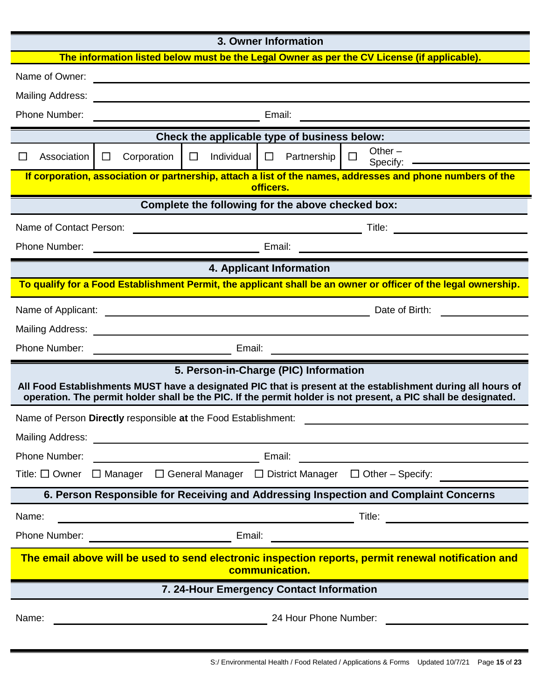|                              |                                                                |                                                               | 3. Owner Information                                                                                                 |                                                                                                                                                                                                                                      |
|------------------------------|----------------------------------------------------------------|---------------------------------------------------------------|----------------------------------------------------------------------------------------------------------------------|--------------------------------------------------------------------------------------------------------------------------------------------------------------------------------------------------------------------------------------|
|                              |                                                                |                                                               |                                                                                                                      | The information listed below must be the Legal Owner as per the CV License (if applicable).                                                                                                                                          |
| Name of Owner:               |                                                                |                                                               | <u> 1989 - Johann Harry Barn, mars ar breist ar ymgyrdd y breisinn a gynnas y breisinn a gynnas y breisinn a gyn</u> |                                                                                                                                                                                                                                      |
| <b>Mailing Address:</b>      |                                                                |                                                               |                                                                                                                      |                                                                                                                                                                                                                                      |
| Phone Number:                |                                                                |                                                               | Email:                                                                                                               | <u> 1980 - John Stein, Amerikaansk politiker (</u>                                                                                                                                                                                   |
|                              |                                                                |                                                               | Check the applicable type of business below:                                                                         |                                                                                                                                                                                                                                      |
| Association<br>$\mathcal{L}$ | $\Box$<br>Corporation                                          | $\Box$<br>Individual                                          | $\Box$<br>Partnership                                                                                                | Other $-$<br>$\Box$<br>Specify:                                                                                                                                                                                                      |
|                              |                                                                |                                                               | officers.                                                                                                            | If corporation, association or partnership, attach a list of the names, addresses and phone numbers of the                                                                                                                           |
|                              |                                                                |                                                               | Complete the following for the above checked box:                                                                    |                                                                                                                                                                                                                                      |
| Name of Contact Person:      |                                                                |                                                               |                                                                                                                      |                                                                                                                                                                                                                                      |
| Phone Number:                |                                                                | <u> 1989 - Johann Barnett, fransk politik (</u>               | Email:                                                                                                               |                                                                                                                                                                                                                                      |
|                              |                                                                |                                                               | 4. Applicant Information                                                                                             |                                                                                                                                                                                                                                      |
|                              |                                                                |                                                               |                                                                                                                      | To qualify for a Food Establishment Permit, the applicant shall be an owner or officer of the legal ownership.                                                                                                                       |
| Name of Applicant:           |                                                                |                                                               |                                                                                                                      | Date of Birth:                                                                                                                                                                                                                       |
| <b>Mailing Address:</b>      |                                                                | <u> 1980 - Johann Barn, mars an t-Amerikaansk politiker (</u> |                                                                                                                      |                                                                                                                                                                                                                                      |
| Phone Number:                |                                                                |                                                               |                                                                                                                      | <u>in the contract of the contract of the contract of the contract of the contract of the contract of the contract of the contract of the contract of the contract of the contract of the contract of the contract of the contra</u> |
|                              |                                                                |                                                               | 5. Person-in-Charge (PIC) Information                                                                                | All Food Establishments MUST have a designated PIC that is present at the establishment during all hours of                                                                                                                          |
|                              |                                                                |                                                               |                                                                                                                      | operation. The permit holder shall be the PIC. If the permit holder is not present, a PIC shall be designated.                                                                                                                       |
|                              | Name of Person Directly responsible at the Food Establishment: |                                                               |                                                                                                                      |                                                                                                                                                                                                                                      |
| <b>Mailing Address:</b>      |                                                                |                                                               |                                                                                                                      |                                                                                                                                                                                                                                      |
| Phone Number:                |                                                                |                                                               | Email:                                                                                                               |                                                                                                                                                                                                                                      |
| Title: $\square$ Owner       |                                                                |                                                               |                                                                                                                      | $\Box$ Manager $\Box$ General Manager $\Box$ District Manager $\Box$ Other - Specify:                                                                                                                                                |
|                              |                                                                |                                                               |                                                                                                                      | 6. Person Responsible for Receiving and Addressing Inspection and Complaint Concerns                                                                                                                                                 |
| Name:                        |                                                                |                                                               |                                                                                                                      | Title:                                                                                                                                                                                                                               |
| Phone Number:                |                                                                | Email:                                                        |                                                                                                                      |                                                                                                                                                                                                                                      |
|                              |                                                                |                                                               | communication.                                                                                                       | The email above will be used to send electronic inspection reports, permit renewal notification and                                                                                                                                  |
|                              |                                                                |                                                               | 7. 24-Hour Emergency Contact Information                                                                             |                                                                                                                                                                                                                                      |
| Name:                        |                                                                |                                                               | 24 Hour Phone Number:                                                                                                |                                                                                                                                                                                                                                      |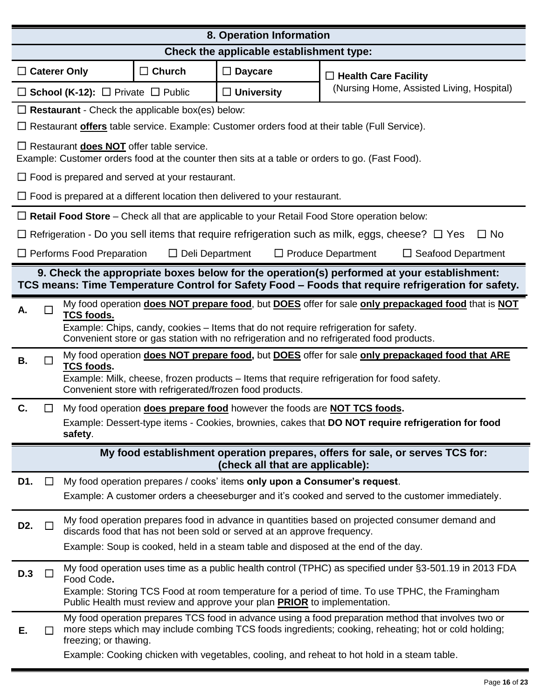| 8. Operation Information                                                                                             |                                                                                    |                                                                                                                                                                                  |  |                                          |                   |                                  |                             |                                                                                                                                                                                                             |
|----------------------------------------------------------------------------------------------------------------------|------------------------------------------------------------------------------------|----------------------------------------------------------------------------------------------------------------------------------------------------------------------------------|--|------------------------------------------|-------------------|----------------------------------|-----------------------------|-------------------------------------------------------------------------------------------------------------------------------------------------------------------------------------------------------------|
|                                                                                                                      |                                                                                    |                                                                                                                                                                                  |  | Check the applicable establishment type: |                   |                                  |                             |                                                                                                                                                                                                             |
| $\Box$ Caterer Only                                                                                                  |                                                                                    |                                                                                                                                                                                  |  | $\Box$ Church                            | $\Box$ Daycare    |                                  | $\Box$ Health Care Facility |                                                                                                                                                                                                             |
|                                                                                                                      |                                                                                    | $\Box$ School (K-12): $\Box$ Private $\Box$ Public                                                                                                                               |  |                                          | $\Box$ University |                                  |                             | (Nursing Home, Assisted Living, Hospital)                                                                                                                                                                   |
|                                                                                                                      |                                                                                    | $\Box$ Restaurant - Check the applicable box(es) below:                                                                                                                          |  |                                          |                   |                                  |                             |                                                                                                                                                                                                             |
|                                                                                                                      |                                                                                    | $\Box$ Restaurant <b>offers</b> table service. Example: Customer orders food at their table (Full Service).                                                                      |  |                                          |                   |                                  |                             |                                                                                                                                                                                                             |
|                                                                                                                      |                                                                                    | $\Box$ Restaurant <b>does NOT</b> offer table service.<br>Example: Customer orders food at the counter then sits at a table or orders to go. (Fast Food).                        |  |                                          |                   |                                  |                             |                                                                                                                                                                                                             |
|                                                                                                                      | $\Box$ Food is prepared and served at your restaurant.                             |                                                                                                                                                                                  |  |                                          |                   |                                  |                             |                                                                                                                                                                                                             |
|                                                                                                                      | $\Box$ Food is prepared at a different location then delivered to your restaurant. |                                                                                                                                                                                  |  |                                          |                   |                                  |                             |                                                                                                                                                                                                             |
|                                                                                                                      |                                                                                    | $\Box$ Retail Food Store – Check all that are applicable to your Retail Food Store operation below:                                                                              |  |                                          |                   |                                  |                             |                                                                                                                                                                                                             |
|                                                                                                                      |                                                                                    |                                                                                                                                                                                  |  |                                          |                   |                                  |                             | Refrigeration - Do you sell items that require refrigeration such as milk, eggs, cheese? $\Box$ Yes<br>$\Box$ No                                                                                            |
| $\Box$ Performs Food Preparation<br>$\Box$ Deli Department<br>$\Box$ Produce Department<br>$\Box$ Seafood Department |                                                                                    |                                                                                                                                                                                  |  |                                          |                   |                                  |                             |                                                                                                                                                                                                             |
|                                                                                                                      |                                                                                    |                                                                                                                                                                                  |  |                                          |                   |                                  |                             | 9. Check the appropriate boxes below for the operation(s) performed at your establishment:<br>TCS means: Time Temperature Control for Safety Food - Foods that require refrigeration for safety.            |
| А.                                                                                                                   |                                                                                    | <b>TCS foods.</b>                                                                                                                                                                |  |                                          |                   |                                  |                             | My food operation does NOT prepare food, but DOES offer for sale only prepackaged food that is NOT                                                                                                          |
|                                                                                                                      |                                                                                    | Example: Chips, candy, cookies - Items that do not require refrigeration for safety.<br>Convenient store or gas station with no refrigeration and no refrigerated food products. |  |                                          |                   |                                  |                             |                                                                                                                                                                                                             |
| В.                                                                                                                   |                                                                                    | <b>TCS foods.</b>                                                                                                                                                                |  |                                          |                   |                                  |                             | My food operation does NOT prepare food, but DOES offer for sale only prepackaged food that ARE                                                                                                             |
|                                                                                                                      |                                                                                    | Example: Milk, cheese, frozen products - Items that require refrigeration for food safety.<br>Convenient store with refrigerated/frozen food products.                           |  |                                          |                   |                                  |                             |                                                                                                                                                                                                             |
| C.                                                                                                                   |                                                                                    | My food operation <b>does prepare food</b> however the foods are <b>NOT TCS foods.</b>                                                                                           |  |                                          |                   |                                  |                             |                                                                                                                                                                                                             |
|                                                                                                                      |                                                                                    | safety.                                                                                                                                                                          |  |                                          |                   |                                  |                             | Example: Dessert-type items - Cookies, brownies, cakes that DO NOT require refrigeration for food                                                                                                           |
|                                                                                                                      |                                                                                    |                                                                                                                                                                                  |  |                                          |                   | (check all that are applicable): |                             | My food establishment operation prepares, offers for sale, or serves TCS for:                                                                                                                               |
| D1.                                                                                                                  | ப                                                                                  | My food operation prepares / cooks' items only upon a Consumer's request.                                                                                                        |  |                                          |                   |                                  |                             |                                                                                                                                                                                                             |
|                                                                                                                      |                                                                                    |                                                                                                                                                                                  |  |                                          |                   |                                  |                             | Example: A customer orders a cheeseburger and it's cooked and served to the customer immediately.                                                                                                           |
| D <sub>2</sub> .                                                                                                     |                                                                                    | discards food that has not been sold or served at an approve frequency.                                                                                                          |  |                                          |                   |                                  |                             | My food operation prepares food in advance in quantities based on projected consumer demand and                                                                                                             |
|                                                                                                                      |                                                                                    | Example: Soup is cooked, held in a steam table and disposed at the end of the day.                                                                                               |  |                                          |                   |                                  |                             |                                                                                                                                                                                                             |
| D.3                                                                                                                  | H                                                                                  | Food Code.                                                                                                                                                                       |  |                                          |                   |                                  |                             | My food operation uses time as a public health control (TPHC) as specified under §3-501.19 in 2013 FDA                                                                                                      |
|                                                                                                                      |                                                                                    | Public Health must review and approve your plan <b>PRIOR</b> to implementation.                                                                                                  |  |                                          |                   |                                  |                             | Example: Storing TCS Food at room temperature for a period of time. To use TPHC, the Framingham                                                                                                             |
| Е.                                                                                                                   |                                                                                    | freezing; or thawing.                                                                                                                                                            |  |                                          |                   |                                  |                             | My food operation prepares TCS food in advance using a food preparation method that involves two or<br>more steps which may include combing TCS foods ingredients; cooking, reheating; hot or cold holding; |
|                                                                                                                      |                                                                                    |                                                                                                                                                                                  |  |                                          |                   |                                  |                             | Example: Cooking chicken with vegetables, cooling, and reheat to hot hold in a steam table.                                                                                                                 |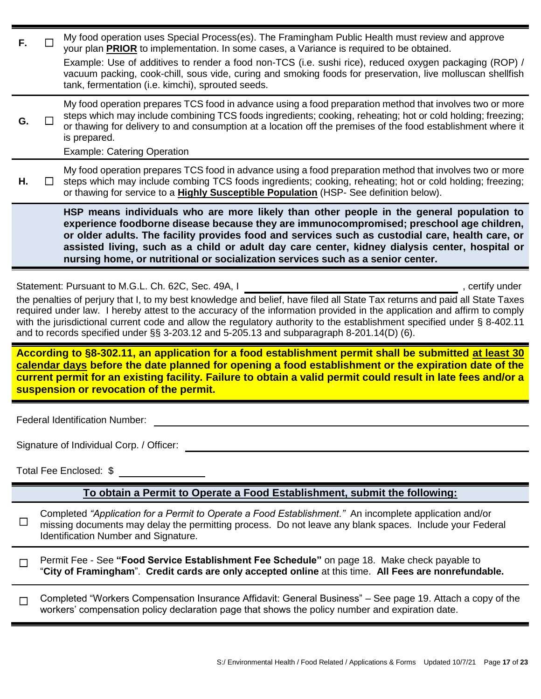| F.             | My food operation uses Special Process(es). The Framingham Public Health must review and approve<br>your plan <b>PRIOR</b> to implementation. In some cases, a Variance is required to be obtained.<br>Example: Use of additives to render a food non-TCS (i.e. sushi rice), reduced oxygen packaging (ROP) /                                                                                                                                                                                                                                           |
|----------------|---------------------------------------------------------------------------------------------------------------------------------------------------------------------------------------------------------------------------------------------------------------------------------------------------------------------------------------------------------------------------------------------------------------------------------------------------------------------------------------------------------------------------------------------------------|
|                | vacuum packing, cook-chill, sous vide, curing and smoking foods for preservation, live molluscan shellfish<br>tank, fermentation (i.e. kimchi), sprouted seeds.                                                                                                                                                                                                                                                                                                                                                                                         |
| G.             | My food operation prepares TCS food in advance using a food preparation method that involves two or more<br>steps which may include combining TCS foods ingredients; cooking, reheating; hot or cold holding; freezing;<br>or thawing for delivery to and consumption at a location off the premises of the food establishment where it<br>is prepared.<br><b>Example: Catering Operation</b>                                                                                                                                                           |
| Н.             | My food operation prepares TCS food in advance using a food preparation method that involves two or more<br>steps which may include combing TCS foods ingredients; cooking, reheating; hot or cold holding; freezing;<br>or thawing for service to a <b>Highly Susceptible Population</b> (HSP- See definition below).                                                                                                                                                                                                                                  |
|                | HSP means individuals who are more likely than other people in the general population to<br>experience foodborne disease because they are immunocompromised; preschool age children,<br>or older adults. The facility provides food and services such as custodial care, health care, or<br>assisted living, such as a child or adult day care center, kidney dialysis center, hospital or<br>nursing home, or nutritional or socialization services such as a senior center.                                                                           |
|                |                                                                                                                                                                                                                                                                                                                                                                                                                                                                                                                                                         |
|                | Statement: Pursuant to M.G.L. Ch. 62C, Sec. 49A, I<br>, certify under<br>the penalties of perjury that I, to my best knowledge and belief, have filed all State Tax returns and paid all State Taxes<br>required under law. I hereby attest to the accuracy of the information provided in the application and affirm to comply<br>with the jurisdictional current code and allow the regulatory authority to the establishment specified under § 8-402.11<br>and to records specified under §§ 3-203.12 and 5-205.13 and subparagraph 8-201.14(D) (6). |
|                | According to §8-302.11, an application for a food establishment permit shall be submitted at least 30                                                                                                                                                                                                                                                                                                                                                                                                                                                   |
|                | calendar days before the date planned for opening a food establishment or the expiration date of the<br>current permit for an existing facility. Failure to obtain a valid permit could result in late fees and/or a<br>suspension or revocation of the permit.                                                                                                                                                                                                                                                                                         |
|                | <b>Federal Identification Number:</b>                                                                                                                                                                                                                                                                                                                                                                                                                                                                                                                   |
|                | Signature of Individual Corp. / Officer:                                                                                                                                                                                                                                                                                                                                                                                                                                                                                                                |
|                | Total Fee Enclosed: \$                                                                                                                                                                                                                                                                                                                                                                                                                                                                                                                                  |
|                | To obtain a Permit to Operate a Food Establishment, submit the following:                                                                                                                                                                                                                                                                                                                                                                                                                                                                               |
| ப              | Completed "Application for a Permit to Operate a Food Establishment." An incomplete application and/or<br>missing documents may delay the permitting process. Do not leave any blank spaces. Include your Federal<br>Identification Number and Signature.                                                                                                                                                                                                                                                                                               |
| $\Box$         | Permit Fee - See "Food Service Establishment Fee Schedule" on page 18. Make check payable to<br>"City of Framingham". Credit cards are only accepted online at this time. All Fees are nonrefundable.                                                                                                                                                                                                                                                                                                                                                   |
| $\mathbb{R}^n$ | Completed "Workers Compensation Insurance Affidavit: General Business" – See page 19. Attach a copy of the<br>workers' compensation policy declaration page that shows the policy number and expiration date.                                                                                                                                                                                                                                                                                                                                           |
|                |                                                                                                                                                                                                                                                                                                                                                                                                                                                                                                                                                         |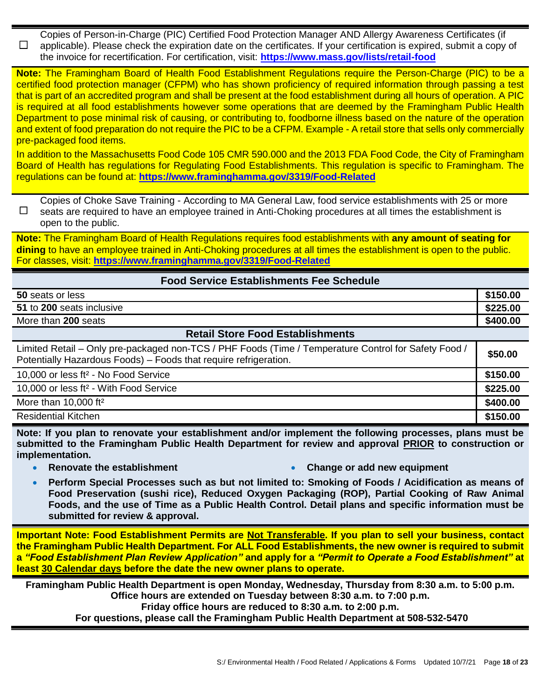☐ Copies of Person-in-Charge (PIC) Certified Food Protection Manager AND Allergy Awareness Certificates (if applicable). Please check the expiration date on the certificates. If your certification is expired, submit a copy of the invoice for recertification. For certification, visit: **<https://www.mass.gov/lists/retail-food>**

**Note:** The Framingham Board of Health Food Establishment Regulations require the Person-Charge (PIC) to be a certified food protection manager (CFPM) who has shown proficiency of required information through passing a test that is part of an accredited program and shall be present at the food establishment during all hours of operation. A PIC is required at all food establishments however some operations that are deemed by the Framingham Public Health Department to pose minimal risk of causing, or contributing to, foodborne illness based on the nature of the operation and extent of food preparation do not require the PIC to be a CFPM. Example - A retail store that sells only commercially pre-packaged food items.

In addition to the Massachusetts Food Code 105 CMR 590.000 and the 2013 FDA Food Code, the City of Framingham Board of Health has regulations for Regulating Food Establishments. This regulation is specific to Framingham. The regulations can be found at: **<https://www.framinghamma.gov/3319/Food-Related>**

☐ Copies of Choke Save Training - According to MA General Law, food service establishments with 25 or more seats are required to have an employee trained in Anti-Choking procedures at all times the establishment is open to the public.

**Note:** The Framingham Board of Health Regulations requires food establishments with **any amount of seating for dining** to have an employee trained in Anti-Choking procedures at all times the establishment is open to the public. For classes, visit: **<https://www.framinghamma.gov/3319/Food-Related>**

#### **Food Service Establishments Fee Schedule**

| 50 seats or less             | \$150.00 |
|------------------------------|----------|
| 51 to 200<br>seats inclusive | \$225.00 |
| More than 200 seats          | \$400.00 |

#### **Retail Store Food Establishments**

| Limited Retail – Only pre-packaged non-TCS / PHF Foods (Time / Temperature Control for Safety Food /<br>Potentially Hazardous Foods) - Foods that require refrigeration. | \$50.00  |
|--------------------------------------------------------------------------------------------------------------------------------------------------------------------------|----------|
| 10,000 or less ft <sup>2</sup> - No Food Service                                                                                                                         | \$150.00 |
| 10,000 or less ft <sup>2</sup> - With Food Service                                                                                                                       | \$225.00 |
| More than $10,000$ ft <sup>2</sup>                                                                                                                                       | \$400.00 |
| <b>Residential Kitchen</b>                                                                                                                                               | \$150.00 |

**Note: If you plan to renovate your establishment and/or implement the following processes, plans must be submitted to the Framingham Public Health Department for review and approval PRIOR to construction or implementation.** 

- 
- **Renovate the establishment Change or add new equipment**
- **Perform Special Processes such as but not limited to: Smoking of Foods / Acidification as means of Food Preservation (sushi rice), Reduced Oxygen Packaging (ROP), Partial Cooking of Raw Animal Foods, and the use of Time as a Public Health Control. Detail plans and specific information must be submitted for review & approval.**

**Important Note: Food Establishment Permits are Not Transferable. If you plan to sell your business, contact the Framingham Public Health Department. For ALL Food Establishments, the new owner is required to submit a** *"Food Establishment Plan Review Application"* **and apply for a** *"Permit to Operate a Food Establishment"* **at least 30 Calendar days before the date the new owner plans to operate.** 

**Framingham Public Health Department is open Monday, Wednesday, Thursday from 8:30 a.m. to 5:00 p.m. Office hours are extended on Tuesday between 8:30 a.m. to 7:00 p.m. Friday office hours are reduced to 8:30 a.m. to 2:00 p.m.**

**For questions, please call the Framingham Public Health Department at 508-532-5470**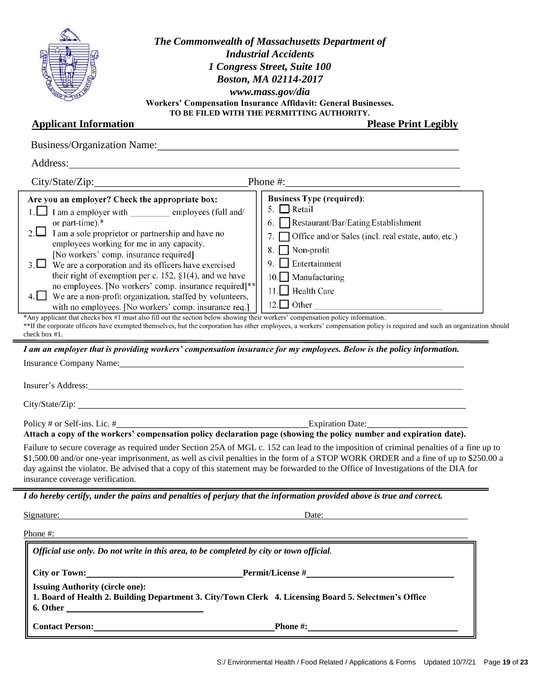

*The Commonwealth of Massachusetts Department of Industrial Accidents 1 Congress Street, Suite 100 Boston, MA 02114-2017 www.mass.gov/dia* **Workers' Compensation Insurance Affidavit: General Businesses. TO BE FILED WITH THE PERMITTING AUTHORITY.**

#### **Applicant Information Please Print Legibly**

| City/State/Zip: Phone #: Phone #:                                                                                                                                                                                                                                                                                                                                                                                                                                                                                                                                                                                                                                                                                                                                                                                                                                                                                                                                                                                                                                                                          |                                                                                                                                                                                                                                                                                                                                                                                                                         |
|------------------------------------------------------------------------------------------------------------------------------------------------------------------------------------------------------------------------------------------------------------------------------------------------------------------------------------------------------------------------------------------------------------------------------------------------------------------------------------------------------------------------------------------------------------------------------------------------------------------------------------------------------------------------------------------------------------------------------------------------------------------------------------------------------------------------------------------------------------------------------------------------------------------------------------------------------------------------------------------------------------------------------------------------------------------------------------------------------------|-------------------------------------------------------------------------------------------------------------------------------------------------------------------------------------------------------------------------------------------------------------------------------------------------------------------------------------------------------------------------------------------------------------------------|
| Are you an employer? Check the appropriate box:<br>1. I am a employer with employees (full and/<br>or part-time).*<br>2. $\Box$ I am a sole proprietor or partnership and have no<br>employees working for me in any capacity.<br>[No workers' comp. insurance required]<br>$3. \Box$ We are a corporation and its officers have exercised<br>their right of exemption per c. 152, $\S1(4)$ , and we have<br>no employees. [No workers' comp. insurance required]**<br>$4.$ We are a non-profit organization, staffed by volunteers,<br>with no employees. [No workers' comp. insurance req.]<br>*Any applicant that checks box #1 must also fill out the section below showing their workers' compensation policy information.<br>check box #1.<br>I am an employer that is providing workers' compensation insurance for my employees. Below is the policy information.<br>Insurance Company Name: Name: Name: Name: Name: Name: Name: Name: Name: Name: Name: Name: Name: Name: Name: Name: Name: Name: Name: Name: Name: Name: Name: Name: Name: Name: Name: Name: Name: Name: Name: Name: Name: Name: | <b>Business Type (required):</b><br>5. $\Box$ Retail<br>6. Restaurant/Bar/Eating Establishment<br>Office and/or Sales (incl. real estate, auto, etc.)<br>$\Box$ Non-profit<br>$\Box$ Entertainment<br>10. Manufacturing<br>11. Health Care<br>**If the corporate officers have exempted themselves, but the corporation has other employees, a workers' compensation policy is required and such an organization should |
|                                                                                                                                                                                                                                                                                                                                                                                                                                                                                                                                                                                                                                                                                                                                                                                                                                                                                                                                                                                                                                                                                                            |                                                                                                                                                                                                                                                                                                                                                                                                                         |
| Attach a copy of the workers' compensation policy declaration page (showing the policy number and expiration date).                                                                                                                                                                                                                                                                                                                                                                                                                                                                                                                                                                                                                                                                                                                                                                                                                                                                                                                                                                                        |                                                                                                                                                                                                                                                                                                                                                                                                                         |
|                                                                                                                                                                                                                                                                                                                                                                                                                                                                                                                                                                                                                                                                                                                                                                                                                                                                                                                                                                                                                                                                                                            | Failure to secure coverage as required under Section 25A of MGL c. 152 can lead to the imposition of criminal penalties of a fine up to<br>\$1,500.00 and/or one-year imprisonment, as well as civil penalties in the form of a STOP WORK ORDER and a fine of up to \$250.00 a<br>day against the violator. Be advised that a copy of this statement may be forwarded to the Office of Investigations of the DIA for    |
| insurance coverage verification.<br>I do hereby certify, under the pains and penalties of perjury that the information provided above is true and correct.                                                                                                                                                                                                                                                                                                                                                                                                                                                                                                                                                                                                                                                                                                                                                                                                                                                                                                                                                 |                                                                                                                                                                                                                                                                                                                                                                                                                         |
|                                                                                                                                                                                                                                                                                                                                                                                                                                                                                                                                                                                                                                                                                                                                                                                                                                                                                                                                                                                                                                                                                                            | Date:                                                                                                                                                                                                                                                                                                                                                                                                                   |
|                                                                                                                                                                                                                                                                                                                                                                                                                                                                                                                                                                                                                                                                                                                                                                                                                                                                                                                                                                                                                                                                                                            |                                                                                                                                                                                                                                                                                                                                                                                                                         |
| Official use only. Do not write in this area, to be completed by city or town official.                                                                                                                                                                                                                                                                                                                                                                                                                                                                                                                                                                                                                                                                                                                                                                                                                                                                                                                                                                                                                    |                                                                                                                                                                                                                                                                                                                                                                                                                         |
| Signature:<br>Phone #:<br>City or Town: <u>New York: Permit/License</u> #                                                                                                                                                                                                                                                                                                                                                                                                                                                                                                                                                                                                                                                                                                                                                                                                                                                                                                                                                                                                                                  |                                                                                                                                                                                                                                                                                                                                                                                                                         |

**Contact Person: Phone #:**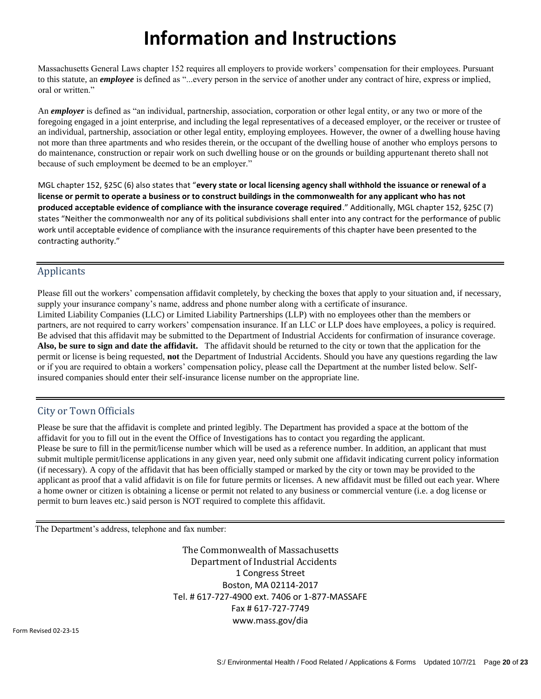# **Information and Instructions**

Massachusetts General Laws chapter 152 requires all employers to provide workers' compensation for their employees. Pursuant to this statute, an *employee* is defined as "...every person in the service of another under any contract of hire, express or implied, oral or written."

An *employer* is defined as "an individual, partnership, association, corporation or other legal entity, or any two or more of the foregoing engaged in a joint enterprise, and including the legal representatives of a deceased employer, or the receiver or trustee of an individual, partnership, association or other legal entity, employing employees. However, the owner of a dwelling house having not more than three apartments and who resides therein, or the occupant of the dwelling house of another who employs persons to do maintenance, construction or repair work on such dwelling house or on the grounds or building appurtenant thereto shall not because of such employment be deemed to be an employer."

MGL chapter 152, §25C (6) also states that "**every state or local licensing agency shall withhold the issuance or renewal of a license or permit to operate a business or to construct buildings in the commonwealth for any applicant who has not produced acceptable evidence of compliance with the insurance coverage required**." Additionally, MGL chapter 152, §25C (7) states "Neither the commonwealth nor any of its political subdivisions shall enter into any contract for the performance of public work until acceptable evidence of compliance with the insurance requirements of this chapter have been presented to the contracting authority."

#### Applicants

Please fill out the workers' compensation affidavit completely, by checking the boxes that apply to your situation and, if necessary, supply your insurance company's name, address and phone number along with a certificate of insurance. Limited Liability Companies (LLC) or Limited Liability Partnerships (LLP) with no employees other than the members or partners, are not required to carry workers' compensation insurance. If an LLC or LLP does have employees, a policy is required. Be advised that this affidavit may be submitted to the Department of Industrial Accidents for confirmation of insurance coverage. **Also, be sure to sign and date the affidavit.** The affidavit should be returned to the city or town that the application for the permit or license is being requested, **not** the Department of Industrial Accidents. Should you have any questions regarding the law or if you are required to obtain a workers' compensation policy, please call the Department at the number listed below. Selfinsured companies should enter their self-insurance license number on the appropriate line.

#### City or Town Officials

Please be sure that the affidavit is complete and printed legibly. The Department has provided a space at the bottom of the affidavit for you to fill out in the event the Office of Investigations has to contact you regarding the applicant. Please be sure to fill in the permit/license number which will be used as a reference number. In addition, an applicant that must submit multiple permit/license applications in any given year, need only submit one affidavit indicating current policy information (if necessary). A copy of the affidavit that has been officially stamped or marked by the city or town may be provided to the applicant as proof that a valid affidavit is on file for future permits or licenses. A new affidavit must be filled out each year. Where a home owner or citizen is obtaining a license or permit not related to any business or commercial venture (i.e. a dog license or permit to burn leaves etc.) said person is NOT required to complete this affidavit.

The Department's address, telephone and fax number:

 The Commonwealth of Massachusetts Department of Industrial Accidents 1 Congress Street Boston, MA 02114-2017 Tel. # 617-727-4900 ext. 7406 or 1-877-MASSAFE Fax # 617-727-7749 [www.mass.gov/dia](http://www.mass.gov/dia)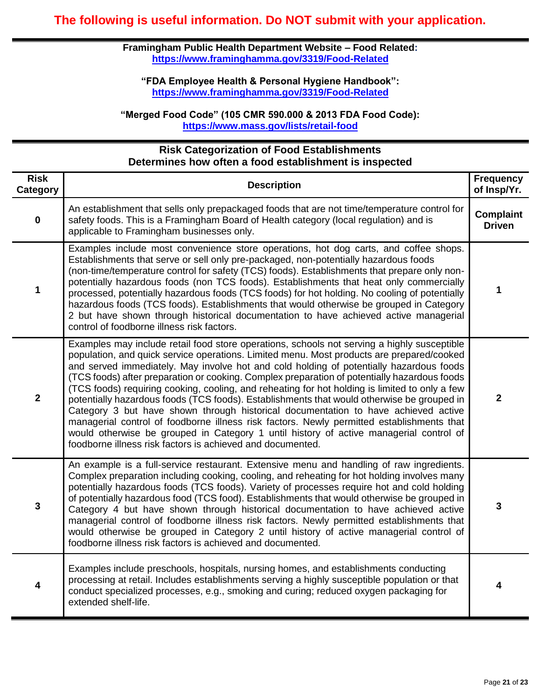**Framingham Public Health Department Website – Food Related: <https://www.framinghamma.gov/3319/Food-Related>**

**"FDA Employee Health & Personal Hygiene Handbook": <https://www.framinghamma.gov/3319/Food-Related>**

**"Merged Food Code" (105 CMR 590.000 & 2013 FDA Food Code): <https://www.mass.gov/lists/retail-food>**

#### **Risk Categorization of Food Establishments Determines how often a food establishment is inspected**

| <b>Risk</b><br>Category | <b>Description</b>                                                                                                                                                                                                                                                                                                                                                                                                                                                                                                                                                                                                                                                                                                                                                                                                                                                                                                             | <b>Frequency</b><br>of Insp/Yr.   |
|-------------------------|--------------------------------------------------------------------------------------------------------------------------------------------------------------------------------------------------------------------------------------------------------------------------------------------------------------------------------------------------------------------------------------------------------------------------------------------------------------------------------------------------------------------------------------------------------------------------------------------------------------------------------------------------------------------------------------------------------------------------------------------------------------------------------------------------------------------------------------------------------------------------------------------------------------------------------|-----------------------------------|
| $\mathbf 0$             | An establishment that sells only prepackaged foods that are not time/temperature control for<br>safety foods. This is a Framingham Board of Health category (local regulation) and is<br>applicable to Framingham businesses only.                                                                                                                                                                                                                                                                                                                                                                                                                                                                                                                                                                                                                                                                                             | <b>Complaint</b><br><b>Driven</b> |
| 1                       | Examples include most convenience store operations, hot dog carts, and coffee shops.<br>Establishments that serve or sell only pre-packaged, non-potentially hazardous foods<br>(non-time/temperature control for safety (TCS) foods). Establishments that prepare only non-<br>potentially hazardous foods (non TCS foods). Establishments that heat only commercially<br>processed, potentially hazardous foods (TCS foods) for hot holding. No cooling of potentially<br>hazardous foods (TCS foods). Establishments that would otherwise be grouped in Category<br>2 but have shown through historical documentation to have achieved active managerial<br>control of foodborne illness risk factors.                                                                                                                                                                                                                      | 1                                 |
| $\overline{2}$          | Examples may include retail food store operations, schools not serving a highly susceptible<br>population, and quick service operations. Limited menu. Most products are prepared/cooked<br>and served immediately. May involve hot and cold holding of potentially hazardous foods<br>(TCS foods) after preparation or cooking. Complex preparation of potentially hazardous foods<br>(TCS foods) requiring cooking, cooling, and reheating for hot holding is limited to only a few<br>potentially hazardous foods (TCS foods). Establishments that would otherwise be grouped in<br>Category 3 but have shown through historical documentation to have achieved active<br>managerial control of foodborne illness risk factors. Newly permitted establishments that<br>would otherwise be grouped in Category 1 until history of active managerial control of<br>foodborne illness risk factors is achieved and documented. | $\overline{2}$                    |
| $\mathbf{3}$            | An example is a full-service restaurant. Extensive menu and handling of raw ingredients.<br>Complex preparation including cooking, cooling, and reheating for hot holding involves many<br>potentially hazardous foods (TCS foods). Variety of processes require hot and cold holding<br>of potentially hazardous food (TCS food). Establishments that would otherwise be grouped in<br>Category 4 but have shown through historical documentation to have achieved active<br>managerial control of foodborne illness risk factors. Newly permitted establishments that<br>would otherwise be grouped in Category 2 until history of active managerial control of<br>foodborne illness risk factors is achieved and documented.                                                                                                                                                                                                | 3                                 |
| 4                       | Examples include preschools, hospitals, nursing homes, and establishments conducting<br>processing at retail. Includes establishments serving a highly susceptible population or that<br>conduct specialized processes, e.g., smoking and curing; reduced oxygen packaging for<br>extended shelf-life.                                                                                                                                                                                                                                                                                                                                                                                                                                                                                                                                                                                                                         | 4                                 |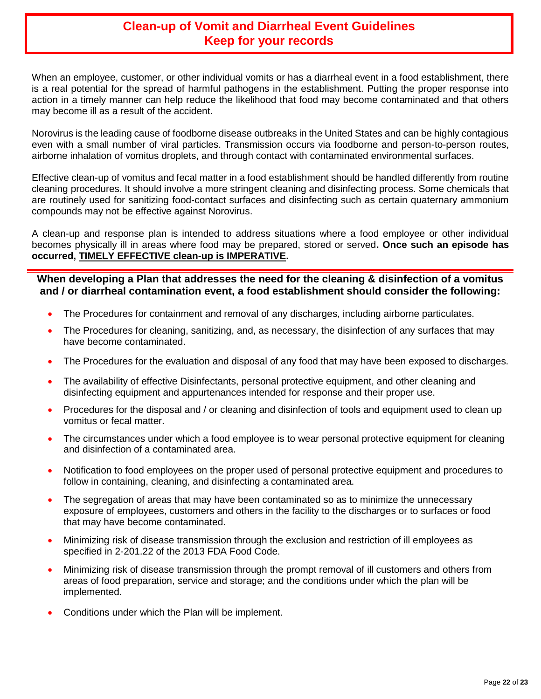## **Clean-up of Vomit and Diarrheal Event Guidelines Keep for your records**

When an employee, customer, or other individual vomits or has a diarrheal event in a food establishment, there is a real potential for the spread of harmful pathogens in the establishment. Putting the proper response into action in a timely manner can help reduce the likelihood that food may become contaminated and that others may become ill as a result of the accident.

Norovirus is the leading cause of foodborne disease outbreaks in the United States and can be highly contagious even with a small number of viral particles. Transmission occurs via foodborne and person-to-person routes, airborne inhalation of vomitus droplets, and through contact with contaminated environmental surfaces.

Effective clean-up of vomitus and fecal matter in a food establishment should be handled differently from routine cleaning procedures. It should involve a more stringent cleaning and disinfecting process. Some chemicals that are routinely used for sanitizing food-contact surfaces and disinfecting such as certain quaternary ammonium compounds may not be effective against Norovirus.

A clean-up and response plan is intended to address situations where a food employee or other individual becomes physically ill in areas where food may be prepared, stored or served**. Once such an episode has occurred, TIMELY EFFECTIVE clean-up is IMPERATIVE.** 

#### **When developing a Plan that addresses the need for the cleaning & disinfection of a vomitus and / or diarrheal contamination event, a food establishment should consider the following:**

- The Procedures for containment and removal of any discharges, including airborne particulates.
- The Procedures for cleaning, sanitizing, and, as necessary, the disinfection of any surfaces that may have become contaminated.
- The Procedures for the evaluation and disposal of any food that may have been exposed to discharges.
- The availability of effective Disinfectants, personal protective equipment, and other cleaning and disinfecting equipment and appurtenances intended for response and their proper use.
- Procedures for the disposal and / or cleaning and disinfection of tools and equipment used to clean up vomitus or fecal matter.
- The circumstances under which a food employee is to wear personal protective equipment for cleaning and disinfection of a contaminated area.
- Notification to food employees on the proper used of personal protective equipment and procedures to follow in containing, cleaning, and disinfecting a contaminated area.
- The segregation of areas that may have been contaminated so as to minimize the unnecessary exposure of employees, customers and others in the facility to the discharges or to surfaces or food that may have become contaminated.
- Minimizing risk of disease transmission through the exclusion and restriction of ill employees as specified in 2-201.22 of the 2013 FDA Food Code.
- Minimizing risk of disease transmission through the prompt removal of ill customers and others from areas of food preparation, service and storage; and the conditions under which the plan will be implemented.
- Conditions under which the Plan will be implement.